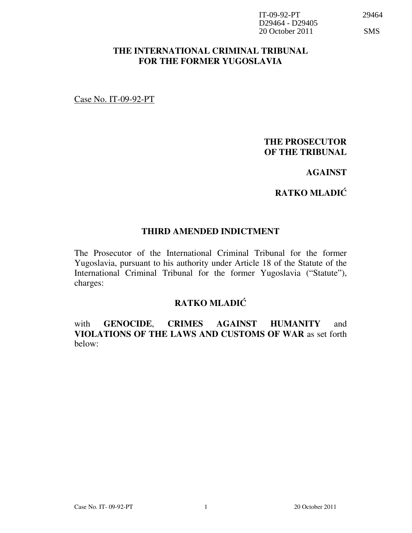| $IT-(9-92-PT)$                          | 29464      |
|-----------------------------------------|------------|
| D <sub>29464</sub> - D <sub>29405</sub> |            |
| 20 October 2011                         | <b>SMS</b> |

#### THE INTERNATIONAL CRIMINAL TRIBUNAL FOR THE FORMER YUGOSLAVIA

Case No. IT-09-92-PT

### THE PROSECUTOR OF THE TRIBUNAL

### AGAINST

### **RATKO MLADIĆ**

#### THIRD AMENDED INDICTMENT

The Prosecutor of the International Criminal Tribunal for the former Yugoslavia, pursuant to his authority under Article 18 of the Statute of the International Criminal Tribunal for the former Yugoslavia ("Statute"), charges:

### **RATKO MLADIĆ**

with **GENOCIDE**, **CRIMES AGAINST HUMANITY** and VIOLATIONS OF THE LAWS AND CUSTOMS OF WAR as set forth below: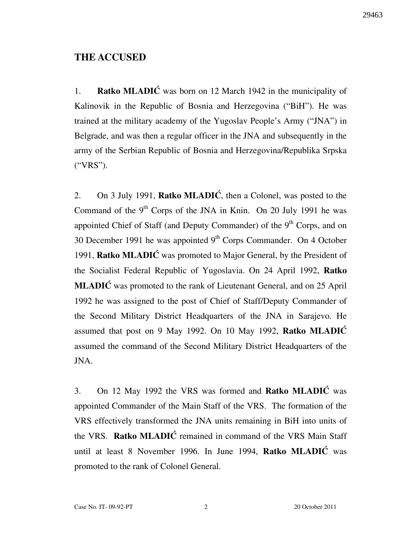### THE ACCUSED

1. **Ratko MLADIĆ** was born on 12 March 1942 in the municipality of Kalinovik in the Republic of Bosnia and Herzegovina ("BiH"). He was trained at the military academy of the Yugoslav People's Army ("JNA") in Belgrade, and was then a regular officer in the JNA and subsequently in the army of the Serbian Republic of Bosnia and Herzegovina/Republika Srpska ("VRS").

2. On 3 July 1991, **Ratko MLADIC**, then a Colonel, was posted to the Command of the  $9<sup>th</sup>$  Corps of the JNA in Knin. On 20 July 1991 he was appointed Chief of Staff (and Deputy Commander) of the 9<sup>th</sup> Corps, and on 30 December 1991 he was appointed  $9<sup>th</sup>$  Corps Commander. On 4 October 1991, Ratko MLADI $\acute{C}$  was promoted to Major General, by the President of the Socialist Federal Republic of Yugoslavia. On 24 April 1992, Ratko **MLADIC** was promoted to the rank of Lieutenant General, and on 25 April 1992 he was assigned to the post of Chief of Staff/Deputy Commander of the Second Military District Headquarters of the JNA in Sarajevo. He assumed that post on 9 May 1992. On 10 May 1992, Ratko MLADI $\acute{C}$ assumed the command of the Second Military District Headquarters of the JNA.

3. On 12 May 1992 the VRS was formed and **Ratko MLADIC** was appointed Commander of the Main Staff of the VRS. The formation of the VRS effectively transformed the JNA units remaining in BiH into units of the VRS. Ratko MLADIC remained in command of the VRS Main Staff until at least 8 November 1996. In June 1994, Ratko MLADIĆ was promoted to the rank of Colonel General.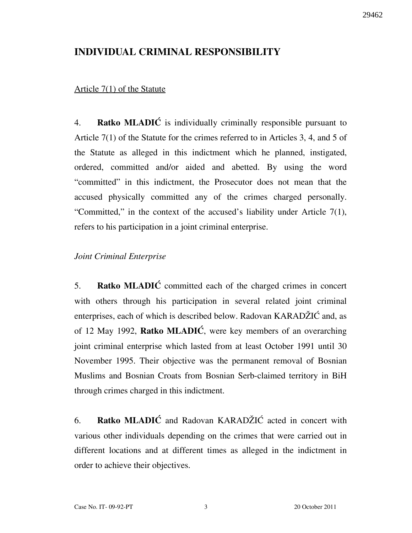### INDIVIDUAL CRIMINAL RESPONSIBILITY

### Article 7(1) of the Statute

4. Ratko MLADI $\acute{C}$  is individually criminally responsible pursuant to Article 7(1) of the Statute for the crimes referred to in Articles 3, 4, and 5 of the Statute as alleged in this indictment which he planned, instigated, ordered, committed and/or aided and abetted. By using the word "committed" in this indictment, the Prosecutor does not mean that the accused physically committed any of the crimes charged personally. "Committed," in the context of the accused's liability under Article 7(1), refers to his participation in a joint criminal enterprise.

### Joint Criminal Enterprise

5. Ratko MLADIC committed each of the charged crimes in concert with others through his participation in several related joint criminal enterprises, each of which is described below. Radovan KARADŽIĆ and, as of 12 May 1992, **Ratko MLADIĆ**, were key members of an overarching joint criminal enterprise which lasted from at least October 1991 until 30 November 1995. Their objective was the permanent removal of Bosnian Muslims and Bosnian Croats from Bosnian Serb-claimed territory in BiH through crimes charged in this indictment.

6. Ratko MLADIĆ and Radovan KARAD $\check{Z}$ IĆ acted in concert with various other individuals depending on the crimes that were carried out in different locations and at different times as alleged in the indictment in order to achieve their objectives.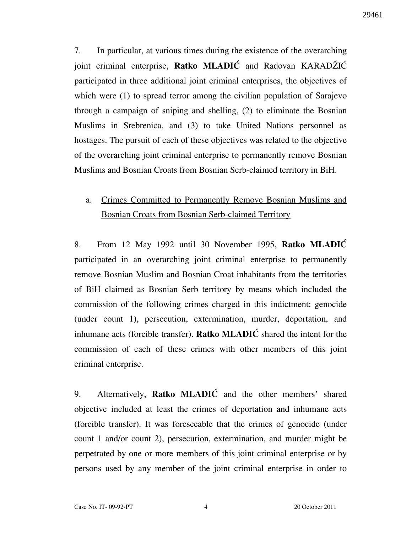7. In particular, at various times during the existence of the overarching joint criminal enterprise, Ratko MLADI $\acute{C}$  and Radovan KARAD $\acute{Z}$ I $\acute{C}$ participated in three additional joint criminal enterprises, the objectives of which were (1) to spread terror among the civilian population of Sarajevo through a campaign of sniping and shelling, (2) to eliminate the Bosnian Muslims in Srebrenica, and (3) to take United Nations personnel as hostages. The pursuit of each of these objectives was related to the objective of the overarching joint criminal enterprise to permanently remove Bosnian Muslims and Bosnian Croats from Bosnian Serb-claimed territory in BiH.

## a. Crimes Committed to Permanently Remove Bosnian Muslims and Bosnian Croats from Bosnian Serb-claimed Territory

8. From 12 May 1992 until 30 November 1995, Ratko MLADIĆ participated in an overarching joint criminal enterprise to permanently remove Bosnian Muslim and Bosnian Croat inhabitants from the territories of BiH claimed as Bosnian Serb territory by means which included the commission of the following crimes charged in this indictment: genocide (under count 1), persecution, extermination, murder, deportation, and inhumane acts (forcible transfer). Ratko  $MLADIC$  shared the intent for the commission of each of these crimes with other members of this joint criminal enterprise.

9. Alternatively, **Ratko MLADIC** and the other members' shared objective included at least the crimes of deportation and inhumane acts (forcible transfer). It was foreseeable that the crimes of genocide (under count 1 and/or count 2), persecution, extermination, and murder might be perpetrated by one or more members of this joint criminal enterprise or by persons used by any member of the joint criminal enterprise in order to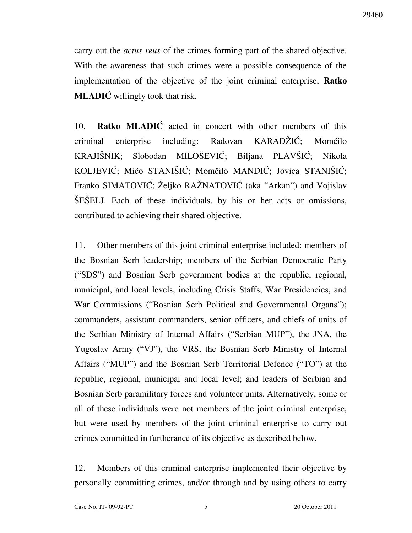carry out the *actus reus* of the crimes forming part of the shared objective. With the awareness that such crimes were a possible consequence of the implementation of the objective of the joint criminal enterprise, Ratko **MLADIC** willingly took that risk.

10. Ratko MLADIC acted in concert with other members of this criminal enterprise including: Radovan KARADŽIĆ; Momčilo KRAJIŠNIK; Slobodan MILOŠEVIĆ; Biljana PLAVŠIĆ; Nikola KOLJEVIĆ; Mićo STANIŠIĆ; Momčilo MANDIĆ; Jovica STANIŠIĆ; Franko SIMATOVIĆ; Željko RAŽNATOVIĆ (aka "Arkan") and Vojislav SESELJ. Each of these individuals, by his or her acts or omissions, contributed to achieving their shared objective.

11. Other members of this joint criminal enterprise included: members of the Bosnian Serb leadership; members of the Serbian Democratic Party ("SDS") and Bosnian Serb government bodies at the republic, regional, municipal, and local levels, including Crisis Staffs, War Presidencies, and War Commissions ("Bosnian Serb Political and Governmental Organs"); commanders, assistant commanders, senior officers, and chiefs of units of the Serbian Ministry of Internal Affairs ("Serbian MUP"), the JNA, the Yugoslav Army ("VJ"), the VRS, the Bosnian Serb Ministry of Internal Affairs ("MUP") and the Bosnian Serb Territorial Defence ("TO") at the republic, regional, municipal and local level; and leaders of Serbian and Bosnian Serb paramilitary forces and volunteer units. Alternatively, some or all of these individuals were not members of the joint criminal enterprise, but were used by members of the joint criminal enterprise to carry out crimes committed in furtherance of its objective as described below.

12. Members of this criminal enterprise implemented their objective by personally committing crimes, and/or through and by using others to carry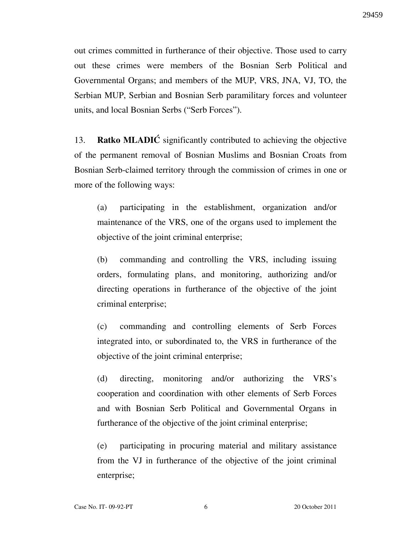out crimes committed in furtherance of their objective. Those used to carry out these crimes were members of the Bosnian Serb Political and Governmental Organs; and members of the MUP, VRS, JNA, VJ, TO, the Serbian MUP, Serbian and Bosnian Serb paramilitary forces and volunteer units, and local Bosnian Serbs ("Serb Forces").

13. Ratko MLADIĆ significantly contributed to achieving the objective of the permanent removal of Bosnian Muslims and Bosnian Croats from Bosnian Serb-claimed territory through the commission of crimes in one or more of the following ways:

(a) participating in the establishment, organization and/or maintenance of the VRS, one of the organs used to implement the objective of the joint criminal enterprise;

(b) commanding and controlling the VRS, including issuing orders, formulating plans, and monitoring, authorizing and/or directing operations in furtherance of the objective of the joint criminal enterprise;

(c) commanding and controlling elements of Serb Forces integrated into, or subordinated to, the VRS in furtherance of the objective of the joint criminal enterprise;

(d) directing, monitoring and/or authorizing the VRS's cooperation and coordination with other elements of Serb Forces and with Bosnian Serb Political and Governmental Organs in furtherance of the objective of the joint criminal enterprise;

(e) participating in procuring material and military assistance from the VJ in furtherance of the objective of the joint criminal enterprise;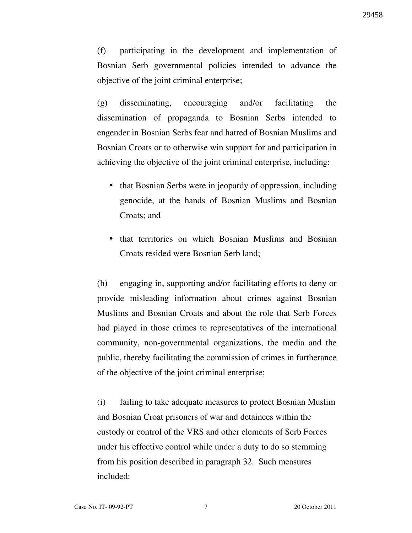(f) participating in the development and implementation of Bosnian Serb governmental policies intended to advance the objective of the joint criminal enterprise;

(g) disseminating, encouraging and/or facilitating the dissemination of propaganda to Bosnian Serbs intended to engender in Bosnian Serbs fear and hatred of Bosnian Muslims and Bosnian Croats or to otherwise win support for and participation in achieving the objective of the joint criminal enterprise, including:

- that Bosnian Serbs were in jeopardy of oppression, including genocide, at the hands of Bosnian Muslims and Bosnian Croats; and
- that territories on which Bosnian Muslims and Bosnian Croats resided were Bosnian Serb land;

(h) engaging in, supporting and/or facilitating efforts to deny or provide misleading information about crimes against Bosnian Muslims and Bosnian Croats and about the role that Serb Forces had played in those crimes to representatives of the international community, non-governmental organizations, the media and the public, thereby facilitating the commission of crimes in furtherance of the objective of the joint criminal enterprise;

(i) failing to take adequate measures to protect Bosnian Muslim and Bosnian Croat prisoners of war and detainees within the custody or control of the VRS and other elements of Serb Forces under his effective control while under a duty to do so stemming from his position described in paragraph 32. Such measures included: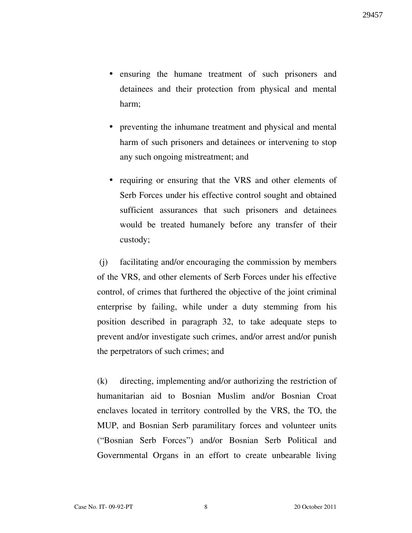- ensuring the humane treatment of such prisoners and detainees and their protection from physical and mental harm;
- preventing the inhumane treatment and physical and mental harm of such prisoners and detainees or intervening to stop any such ongoing mistreatment; and
- requiring or ensuring that the VRS and other elements of Serb Forces under his effective control sought and obtained sufficient assurances that such prisoners and detainees would be treated humanely before any transfer of their custody;

 (j) facilitating and/or encouraging the commission by members of the VRS, and other elements of Serb Forces under his effective control, of crimes that furthered the objective of the joint criminal enterprise by failing, while under a duty stemming from his position described in paragraph 32, to take adequate steps to prevent and/or investigate such crimes, and/or arrest and/or punish the perpetrators of such crimes; and

(k) directing, implementing and/or authorizing the restriction of humanitarian aid to Bosnian Muslim and/or Bosnian Croat enclaves located in territory controlled by the VRS, the TO, the MUP, and Bosnian Serb paramilitary forces and volunteer units ("Bosnian Serb Forces") and/or Bosnian Serb Political and Governmental Organs in an effort to create unbearable living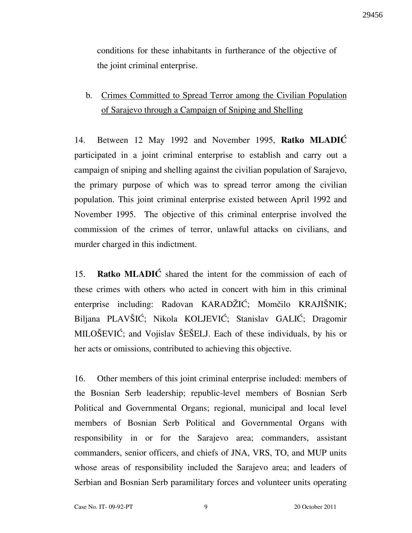conditions for these inhabitants in furtherance of the objective of the joint criminal enterprise.

## b. Crimes Committed to Spread Terror among the Civilian Population of Sarajevo through a Campaign of Sniping and Shelling

14. Between 12 May 1992 and November 1995, Ratko MLADIĆ participated in a joint criminal enterprise to establish and carry out a campaign of sniping and shelling against the civilian population of Sarajevo, the primary purpose of which was to spread terror among the civilian population. This joint criminal enterprise existed between April 1992 and November 1995. The objective of this criminal enterprise involved the commission of the crimes of terror, unlawful attacks on civilians, and murder charged in this indictment.

15. Ratko MLADIC shared the intent for the commission of each of these crimes with others who acted in concert with him in this criminal enterprise including: Radovan KARADŽIĆ; Momčilo KRAJIŠNIK; Biljana PLAVŠIĆ; Nikola KOLJEVIĆ; Stanislav GALIĆ; Dragomir MILOŠEVIĆ; and Vojislav ŠEŠELJ. Each of these individuals, by his or her acts or omissions, contributed to achieving this objective.

16. Other members of this joint criminal enterprise included: members of the Bosnian Serb leadership; republic-level members of Bosnian Serb Political and Governmental Organs; regional, municipal and local level members of Bosnian Serb Political and Governmental Organs with responsibility in or for the Sarajevo area; commanders, assistant commanders, senior officers, and chiefs of JNA, VRS, TO, and MUP units whose areas of responsibility included the Sarajevo area; and leaders of Serbian and Bosnian Serb paramilitary forces and volunteer units operating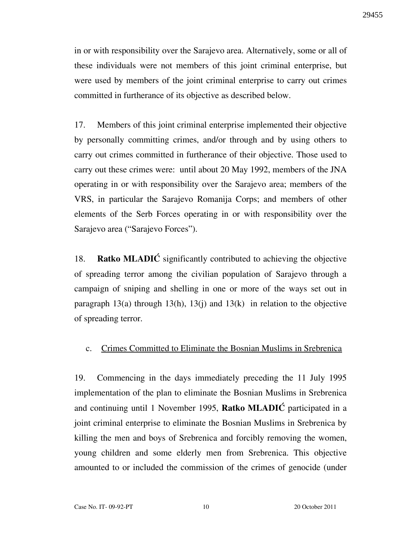in or with responsibility over the Sarajevo area. Alternatively, some or all of these individuals were not members of this joint criminal enterprise, but were used by members of the joint criminal enterprise to carry out crimes committed in furtherance of its objective as described below.

17. Members of this joint criminal enterprise implemented their objective by personally committing crimes, and/or through and by using others to carry out crimes committed in furtherance of their objective. Those used to carry out these crimes were: until about 20 May 1992, members of the JNA operating in or with responsibility over the Sarajevo area; members of the VRS, in particular the Sarajevo Romanija Corps; and members of other elements of the Serb Forces operating in or with responsibility over the Sarajevo area ("Sarajevo Forces").

18. Ratko MLADIC significantly contributed to achieving the objective of spreading terror among the civilian population of Sarajevo through a campaign of sniping and shelling in one or more of the ways set out in paragraph 13(a) through 13(h), 13(j) and 13(k) in relation to the objective of spreading terror.

#### c. Crimes Committed to Eliminate the Bosnian Muslims in Srebrenica

19. Commencing in the days immediately preceding the 11 July 1995 implementation of the plan to eliminate the Bosnian Muslims in Srebrenica and continuing until 1 November 1995, **Ratko MLADIC** participated in a joint criminal enterprise to eliminate the Bosnian Muslims in Srebrenica by killing the men and boys of Srebrenica and forcibly removing the women, young children and some elderly men from Srebrenica. This objective amounted to or included the commission of the crimes of genocide (under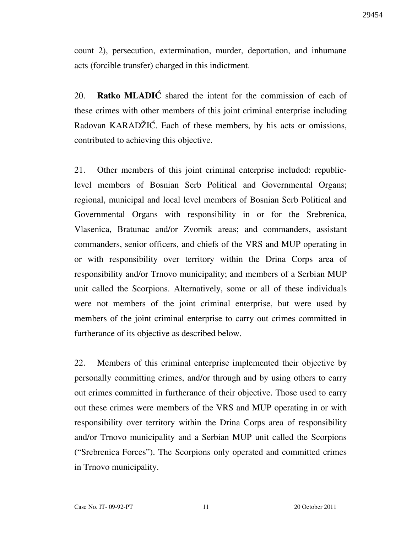count 2), persecution, extermination, murder, deportation, and inhumane acts (forcible transfer) charged in this indictment.

20. **Ratko MLADIC** shared the intent for the commission of each of these crimes with other members of this joint criminal enterprise including Radovan KARADZIC. Each of these members, by his acts or omissions, contributed to achieving this objective.

21. Other members of this joint criminal enterprise included: republiclevel members of Bosnian Serb Political and Governmental Organs; regional, municipal and local level members of Bosnian Serb Political and Governmental Organs with responsibility in or for the Srebrenica, Vlasenica, Bratunac and/or Zvornik areas; and commanders, assistant commanders, senior officers, and chiefs of the VRS and MUP operating in or with responsibility over territory within the Drina Corps area of responsibility and/or Trnovo municipality; and members of a Serbian MUP unit called the Scorpions. Alternatively, some or all of these individuals were not members of the joint criminal enterprise, but were used by members of the joint criminal enterprise to carry out crimes committed in furtherance of its objective as described below.

22. Members of this criminal enterprise implemented their objective by personally committing crimes, and/or through and by using others to carry out crimes committed in furtherance of their objective. Those used to carry out these crimes were members of the VRS and MUP operating in or with responsibility over territory within the Drina Corps area of responsibility and/or Trnovo municipality and a Serbian MUP unit called the Scorpions ("Srebrenica Forces"). The Scorpions only operated and committed crimes in Trnovo municipality.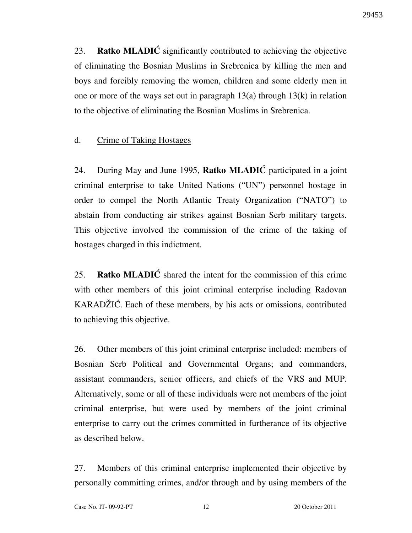23. Ratko MLADIĆ significantly contributed to achieving the objective of eliminating the Bosnian Muslims in Srebrenica by killing the men and boys and forcibly removing the women, children and some elderly men in one or more of the ways set out in paragraph  $13(a)$  through  $13(k)$  in relation to the objective of eliminating the Bosnian Muslims in Srebrenica.

### d. Crime of Taking Hostages

24. During May and June 1995, **Ratko MLADIC** participated in a joint criminal enterprise to take United Nations ("UN") personnel hostage in order to compel the North Atlantic Treaty Organization ("NATO") to abstain from conducting air strikes against Bosnian Serb military targets. This objective involved the commission of the crime of the taking of hostages charged in this indictment.

25. Ratko MLADI $\acute{C}$  shared the intent for the commission of this crime with other members of this joint criminal enterprise including Radovan KARADZIC. Each of these members, by his acts or omissions, contributed to achieving this objective.

26. Other members of this joint criminal enterprise included: members of Bosnian Serb Political and Governmental Organs; and commanders, assistant commanders, senior officers, and chiefs of the VRS and MUP. Alternatively, some or all of these individuals were not members of the joint criminal enterprise, but were used by members of the joint criminal enterprise to carry out the crimes committed in furtherance of its objective as described below.

27. Members of this criminal enterprise implemented their objective by personally committing crimes, and/or through and by using members of the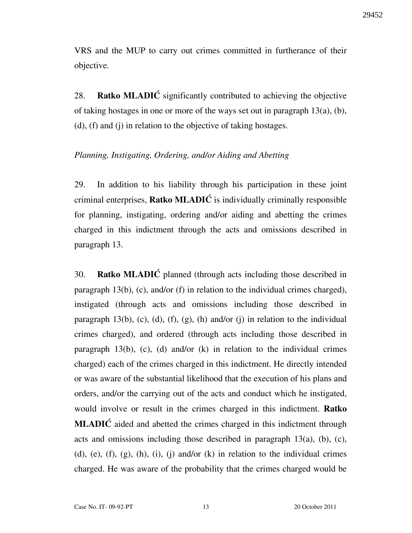29452

VRS and the MUP to carry out crimes committed in furtherance of their objective.

28. Ratko MLADIĆ significantly contributed to achieving the objective of taking hostages in one or more of the ways set out in paragraph 13(a), (b), (d), (f) and (j) in relation to the objective of taking hostages.

#### Planning, Instigating, Ordering, and/or Aiding and Abetting

29. In addition to his liability through his participation in these joint criminal enterprises, **Ratko MLADIC** is individually criminally responsible for planning, instigating, ordering and/or aiding and abetting the crimes charged in this indictment through the acts and omissions described in paragraph 13.

30. **Ratko MLADIC** planned (through acts including those described in paragraph 13(b), (c), and/or (f) in relation to the individual crimes charged), instigated (through acts and omissions including those described in paragraph 13(b), (c), (d), (f), (g), (h) and/or (j) in relation to the individual crimes charged), and ordered (through acts including those described in paragraph 13(b), (c), (d) and/or (k) in relation to the individual crimes charged) each of the crimes charged in this indictment. He directly intended or was aware of the substantial likelihood that the execution of his plans and orders, and/or the carrying out of the acts and conduct which he instigated, would involve or result in the crimes charged in this indictment. Ratko **MLADIC** aided and abetted the crimes charged in this indictment through acts and omissions including those described in paragraph  $13(a)$ , (b), (c), (d), (e), (f), (g), (h), (i), (j) and/or (k) in relation to the individual crimes charged. He was aware of the probability that the crimes charged would be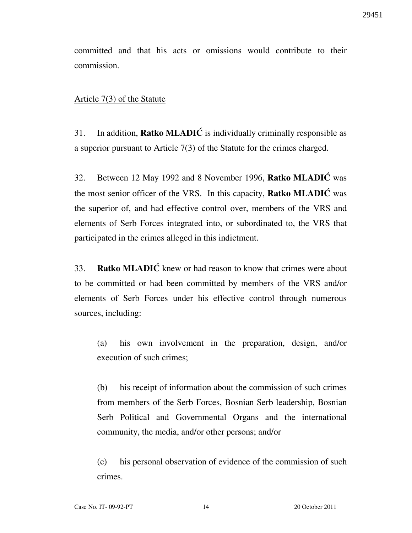committed and that his acts or omissions would contribute to their commission.

#### Article 7(3) of the Statute

31. In addition, **Ratko MLADIC** is individually criminally responsible as a superior pursuant to Article 7(3) of the Statute for the crimes charged.

32. Between 12 May 1992 and 8 November 1996, Ratko MLADIĆ was the most senior officer of the VRS. In this capacity, **Ratko MLADIC** was the superior of, and had effective control over, members of the VRS and elements of Serb Forces integrated into, or subordinated to, the VRS that participated in the crimes alleged in this indictment.

33. Ratko MLADI $\acute{C}$  knew or had reason to know that crimes were about to be committed or had been committed by members of the VRS and/or elements of Serb Forces under his effective control through numerous sources, including:

(a) his own involvement in the preparation, design, and/or execution of such crimes;

(b) his receipt of information about the commission of such crimes from members of the Serb Forces, Bosnian Serb leadership, Bosnian Serb Political and Governmental Organs and the international community, the media, and/or other persons; and/or

(c) his personal observation of evidence of the commission of such crimes.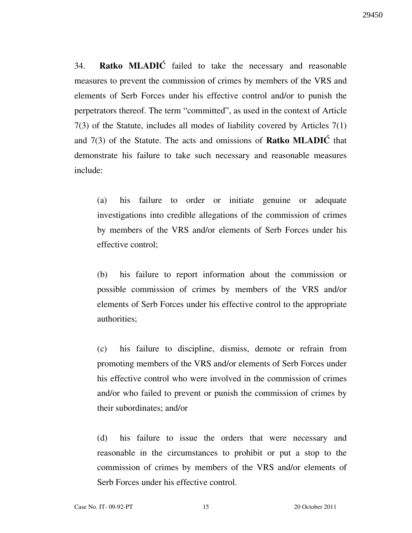29450

34. Ratko MLADIĆ failed to take the necessary and reasonable measures to prevent the commission of crimes by members of the VRS and elements of Serb Forces under his effective control and/or to punish the perpetrators thereof. The term "committed", as used in the context of Article 7(3) of the Statute, includes all modes of liability covered by Articles 7(1) and  $7(3)$  of the Statute. The acts and omissions of **Ratko MLADIC** that demonstrate his failure to take such necessary and reasonable measures include:

(a) his failure to order or initiate genuine or adequate investigations into credible allegations of the commission of crimes by members of the VRS and/or elements of Serb Forces under his effective control;

(b) his failure to report information about the commission or possible commission of crimes by members of the VRS and/or elements of Serb Forces under his effective control to the appropriate authorities;

(c) his failure to discipline, dismiss, demote or refrain from promoting members of the VRS and/or elements of Serb Forces under his effective control who were involved in the commission of crimes and/or who failed to prevent or punish the commission of crimes by their subordinates; and/or

(d) his failure to issue the orders that were necessary and reasonable in the circumstances to prohibit or put a stop to the commission of crimes by members of the VRS and/or elements of Serb Forces under his effective control.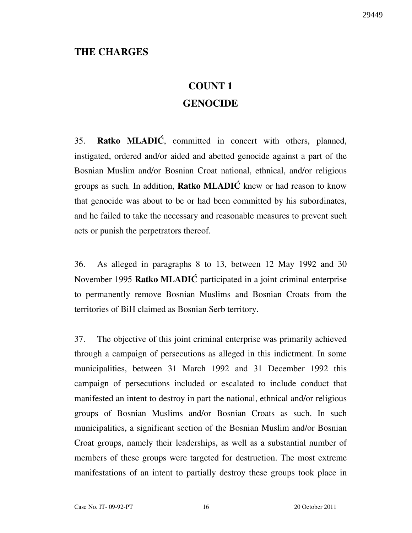### THE CHARGES

# COUNT 1 **GENOCIDE**

35. **Ratko MLADIĆ**, committed in concert with others, planned, instigated, ordered and/or aided and abetted genocide against a part of the Bosnian Muslim and/or Bosnian Croat national, ethnical, and/or religious groups as such. In addition, **Ratko MLADIC** knew or had reason to know that genocide was about to be or had been committed by his subordinates, and he failed to take the necessary and reasonable measures to prevent such acts or punish the perpetrators thereof.

36. As alleged in paragraphs 8 to 13, between 12 May 1992 and 30 November 1995 Ratko MLADIC participated in a joint criminal enterprise to permanently remove Bosnian Muslims and Bosnian Croats from the territories of BiH claimed as Bosnian Serb territory.

37. The objective of this joint criminal enterprise was primarily achieved through a campaign of persecutions as alleged in this indictment. In some municipalities, between 31 March 1992 and 31 December 1992 this campaign of persecutions included or escalated to include conduct that manifested an intent to destroy in part the national, ethnical and/or religious groups of Bosnian Muslims and/or Bosnian Croats as such. In such municipalities, a significant section of the Bosnian Muslim and/or Bosnian Croat groups, namely their leaderships, as well as a substantial number of members of these groups were targeted for destruction. The most extreme manifestations of an intent to partially destroy these groups took place in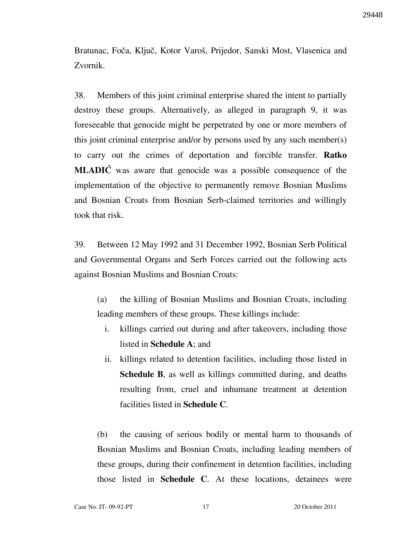Bratunac, Foča, Ključ, Kotor Varoš, Prijedor, Sanski Most, Vlasenica and Zvornik.

38. Members of this joint criminal enterprise shared the intent to partially destroy these groups. Alternatively, as alleged in paragraph 9, it was foreseeable that genocide might be perpetrated by one or more members of this joint criminal enterprise and/or by persons used by any such member(s) to carry out the crimes of deportation and forcible transfer. Ratko MLADIC was aware that genocide was a possible consequence of the implementation of the objective to permanently remove Bosnian Muslims and Bosnian Croats from Bosnian Serb-claimed territories and willingly took that risk.

39. Between 12 May 1992 and 31 December 1992, Bosnian Serb Political and Governmental Organs and Serb Forces carried out the following acts against Bosnian Muslims and Bosnian Croats:

(a) the killing of Bosnian Muslims and Bosnian Croats, including leading members of these groups. These killings include:

- i. killings carried out during and after takeovers, including those listed in Schedule A; and
- ii. killings related to detention facilities, including those listed in Schedule B, as well as killings committed during, and deaths resulting from, cruel and inhumane treatment at detention facilities listed in Schedule C.

(b) the causing of serious bodily or mental harm to thousands of Bosnian Muslims and Bosnian Croats, including leading members of these groups, during their confinement in detention facilities, including those listed in Schedule C. At these locations, detainees were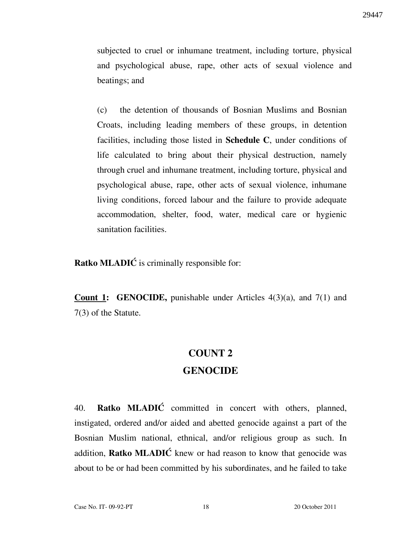subjected to cruel or inhumane treatment, including torture, physical and psychological abuse, rape, other acts of sexual violence and beatings; and

(c) the detention of thousands of Bosnian Muslims and Bosnian Croats, including leading members of these groups, in detention facilities, including those listed in **Schedule C**, under conditions of life calculated to bring about their physical destruction, namely through cruel and inhumane treatment, including torture, physical and psychological abuse, rape, other acts of sexual violence, inhumane living conditions, forced labour and the failure to provide adequate accommodation, shelter, food, water, medical care or hygienic sanitation facilities.

Ratko MLADIĆ is criminally responsible for:

**Count 1: GENOCIDE,** punishable under Articles  $4(3)(a)$ , and  $7(1)$  and 7(3) of the Statute.

# COUNT 2

### **GENOCIDE**

40. **Ratko MLADIC** committed in concert with others, planned, instigated, ordered and/or aided and abetted genocide against a part of the Bosnian Muslim national, ethnical, and/or religious group as such. In addition, Ratko MLADIĆ knew or had reason to know that genocide was about to be or had been committed by his subordinates, and he failed to take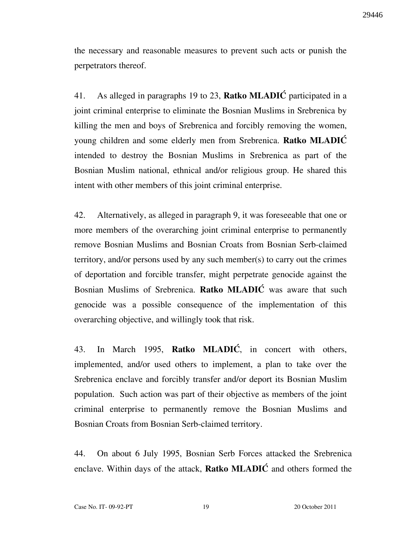the necessary and reasonable measures to prevent such acts or punish the perpetrators thereof.

41. As alleged in paragraphs 19 to 23, **Ratko MLADIC** participated in a joint criminal enterprise to eliminate the Bosnian Muslims in Srebrenica by killing the men and boys of Srebrenica and forcibly removing the women, young children and some elderly men from Srebrenica. Ratko MLADIĆ intended to destroy the Bosnian Muslims in Srebrenica as part of the Bosnian Muslim national, ethnical and/or religious group. He shared this intent with other members of this joint criminal enterprise.

42. Alternatively, as alleged in paragraph 9, it was foreseeable that one or more members of the overarching joint criminal enterprise to permanently remove Bosnian Muslims and Bosnian Croats from Bosnian Serb-claimed territory, and/or persons used by any such member(s) to carry out the crimes of deportation and forcible transfer, might perpetrate genocide against the Bosnian Muslims of Srebrenica. Ratko MLADIĆ was aware that such genocide was a possible consequence of the implementation of this overarching objective, and willingly took that risk.

43. In March 1995, Ratko MLADI $\acute{C}$ , in concert with others, implemented, and/or used others to implement, a plan to take over the Srebrenica enclave and forcibly transfer and/or deport its Bosnian Muslim population. Such action was part of their objective as members of the joint criminal enterprise to permanently remove the Bosnian Muslims and Bosnian Croats from Bosnian Serb-claimed territory.

44. On about 6 July 1995, Bosnian Serb Forces attacked the Srebrenica enclave. Within days of the attack, **Ratko MLADIC** and others formed the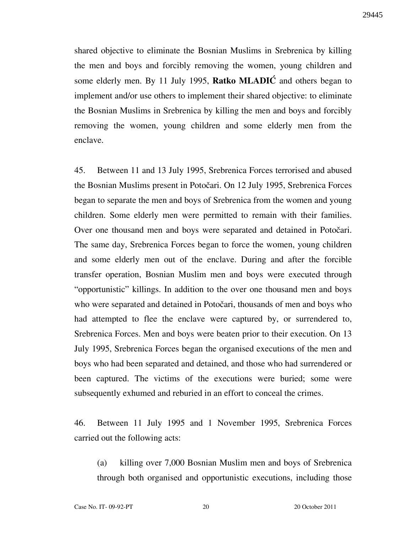shared objective to eliminate the Bosnian Muslims in Srebrenica by killing the men and boys and forcibly removing the women, young children and some elderly men. By 11 July 1995, Ratko MLADIC and others began to implement and/or use others to implement their shared objective: to eliminate the Bosnian Muslims in Srebrenica by killing the men and boys and forcibly removing the women, young children and some elderly men from the enclave.

45. Between 11 and 13 July 1995, Srebrenica Forces terrorised and abused the Bosnian Muslims present in Potočari. On 12 July 1995, Srebrenica Forces began to separate the men and boys of Srebrenica from the women and young children. Some elderly men were permitted to remain with their families. Over one thousand men and boys were separated and detained in Potočari. The same day, Srebrenica Forces began to force the women, young children and some elderly men out of the enclave. During and after the forcible transfer operation, Bosnian Muslim men and boys were executed through "opportunistic" killings. In addition to the over one thousand men and boys who were separated and detained in Potočari, thousands of men and boys who had attempted to flee the enclave were captured by, or surrendered to, Srebrenica Forces. Men and boys were beaten prior to their execution. On 13 July 1995, Srebrenica Forces began the organised executions of the men and boys who had been separated and detained, and those who had surrendered or been captured. The victims of the executions were buried; some were subsequently exhumed and reburied in an effort to conceal the crimes.

46. Between 11 July 1995 and 1 November 1995, Srebrenica Forces carried out the following acts:

(a) killing over 7,000 Bosnian Muslim men and boys of Srebrenica through both organised and opportunistic executions, including those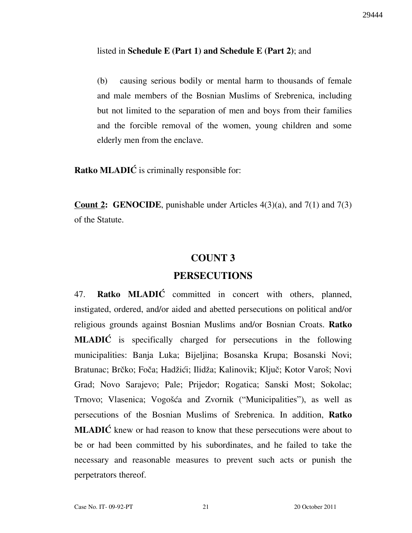#### listed in Schedule E (Part 1) and Schedule E (Part 2); and

(b) causing serious bodily or mental harm to thousands of female and male members of the Bosnian Muslims of Srebrenica, including but not limited to the separation of men and boys from their families and the forcible removal of the women, young children and some elderly men from the enclave.

Ratko MLADIĆ is criminally responsible for:

**Count 2: GENOCIDE**, punishable under Articles  $4(3)(a)$ , and  $7(1)$  and  $7(3)$ of the Statute.

### COUNT 3

### PERSECUTIONS

47. Ratko MLADIĆ committed in concert with others, planned, instigated, ordered, and/or aided and abetted persecutions on political and/or religious grounds against Bosnian Muslims and/or Bosnian Croats. Ratko MLADIC is specifically charged for persecutions in the following municipalities: Banja Luka; Bijeljina; Bosanska Krupa; Bosanski Novi; Bratunac; Brčko; Foča; Hadžići; Ilidža; Kalinovik; Ključ; Kotor Varoš; Novi Grad; Novo Sarajevo; Pale; Prijedor; Rogatica; Sanski Most; Sokolac; Trnovo; Vlasenica; Vogošća and Zvornik ("Municipalities"), as well as persecutions of the Bosnian Muslims of Srebrenica. In addition, Ratko  $MLADI\acute{C}$  knew or had reason to know that these persecutions were about to be or had been committed by his subordinates, and he failed to take the necessary and reasonable measures to prevent such acts or punish the perpetrators thereof.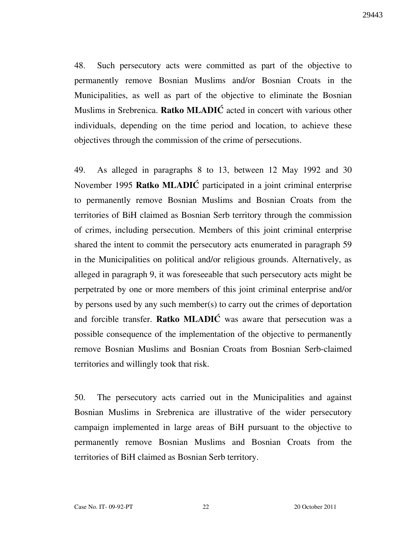48. Such persecutory acts were committed as part of the objective to permanently remove Bosnian Muslims and/or Bosnian Croats in the Municipalities, as well as part of the objective to eliminate the Bosnian Muslims in Srebrenica. **Ratko MLADIC** acted in concert with various other individuals, depending on the time period and location, to achieve these objectives through the commission of the crime of persecutions.

49. As alleged in paragraphs 8 to 13, between 12 May 1992 and 30 November 1995 Ratko MLADIĆ participated in a joint criminal enterprise to permanently remove Bosnian Muslims and Bosnian Croats from the territories of BiH claimed as Bosnian Serb territory through the commission of crimes, including persecution. Members of this joint criminal enterprise shared the intent to commit the persecutory acts enumerated in paragraph 59 in the Municipalities on political and/or religious grounds. Alternatively, as alleged in paragraph 9, it was foreseeable that such persecutory acts might be perpetrated by one or more members of this joint criminal enterprise and/or by persons used by any such member(s) to carry out the crimes of deportation and forcible transfer. Ratko MLADI $\acute{C}$  was aware that persecution was a possible consequence of the implementation of the objective to permanently remove Bosnian Muslims and Bosnian Croats from Bosnian Serb-claimed territories and willingly took that risk.

50. The persecutory acts carried out in the Municipalities and against Bosnian Muslims in Srebrenica are illustrative of the wider persecutory campaign implemented in large areas of BiH pursuant to the objective to permanently remove Bosnian Muslims and Bosnian Croats from the territories of BiH claimed as Bosnian Serb territory.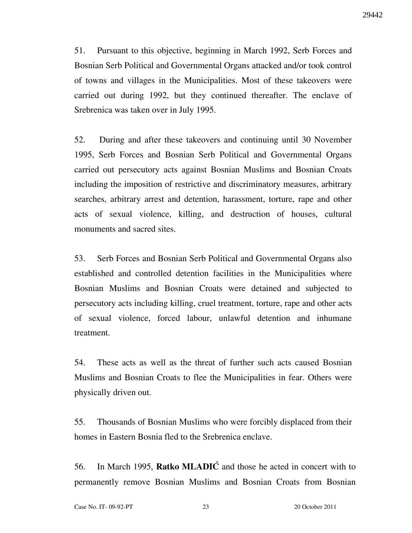51. Pursuant to this objective, beginning in March 1992, Serb Forces and Bosnian Serb Political and Governmental Organs attacked and/or took control of towns and villages in the Municipalities. Most of these takeovers were carried out during 1992, but they continued thereafter. The enclave of Srebrenica was taken over in July 1995.

52. During and after these takeovers and continuing until 30 November 1995, Serb Forces and Bosnian Serb Political and Governmental Organs carried out persecutory acts against Bosnian Muslims and Bosnian Croats including the imposition of restrictive and discriminatory measures, arbitrary searches, arbitrary arrest and detention, harassment, torture, rape and other acts of sexual violence, killing, and destruction of houses, cultural monuments and sacred sites.

53. Serb Forces and Bosnian Serb Political and Governmental Organs also established and controlled detention facilities in the Municipalities where Bosnian Muslims and Bosnian Croats were detained and subjected to persecutory acts including killing, cruel treatment, torture, rape and other acts of sexual violence, forced labour, unlawful detention and inhumane treatment.

54. These acts as well as the threat of further such acts caused Bosnian Muslims and Bosnian Croats to flee the Municipalities in fear. Others were physically driven out.

55. Thousands of Bosnian Muslims who were forcibly displaced from their homes in Eastern Bosnia fled to the Srebrenica enclave.

56. In March 1995, **Ratko MLADIC** and those he acted in concert with to permanently remove Bosnian Muslims and Bosnian Croats from Bosnian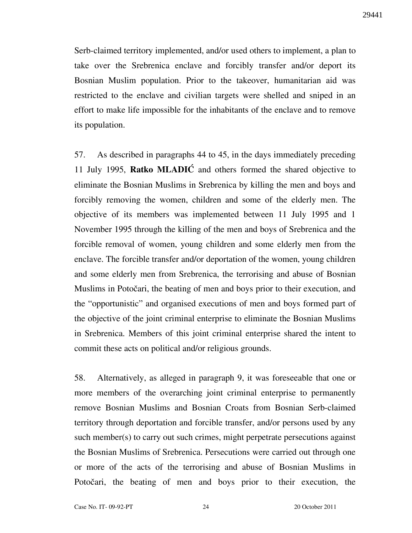Serb-claimed territory implemented, and/or used others to implement, a plan to take over the Srebrenica enclave and forcibly transfer and/or deport its Bosnian Muslim population. Prior to the takeover, humanitarian aid was restricted to the enclave and civilian targets were shelled and sniped in an effort to make life impossible for the inhabitants of the enclave and to remove its population.

57. As described in paragraphs 44 to 45, in the days immediately preceding 11 July 1995, Ratko MLADI $\acute{C}$  and others formed the shared objective to eliminate the Bosnian Muslims in Srebrenica by killing the men and boys and forcibly removing the women, children and some of the elderly men. The objective of its members was implemented between 11 July 1995 and 1 November 1995 through the killing of the men and boys of Srebrenica and the forcible removal of women, young children and some elderly men from the enclave. The forcible transfer and/or deportation of the women, young children and some elderly men from Srebrenica, the terrorising and abuse of Bosnian Muslims in Potočari, the beating of men and boys prior to their execution, and the "opportunistic" and organised executions of men and boys formed part of the objective of the joint criminal enterprise to eliminate the Bosnian Muslims in Srebrenica. Members of this joint criminal enterprise shared the intent to commit these acts on political and/or religious grounds.

58. Alternatively, as alleged in paragraph 9, it was foreseeable that one or more members of the overarching joint criminal enterprise to permanently remove Bosnian Muslims and Bosnian Croats from Bosnian Serb-claimed territory through deportation and forcible transfer, and/or persons used by any such member(s) to carry out such crimes, might perpetrate persecutions against the Bosnian Muslims of Srebrenica. Persecutions were carried out through one or more of the acts of the terrorising and abuse of Bosnian Muslims in Potočari, the beating of men and boys prior to their execution, the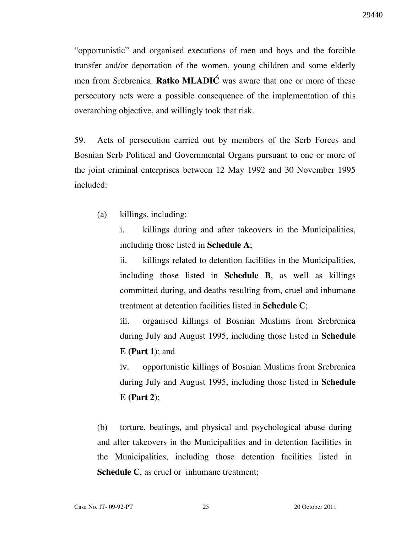"opportunistic" and organised executions of men and boys and the forcible transfer and/or deportation of the women, young children and some elderly men from Srebrenica. Ratko MLADIĆ was aware that one or more of these persecutory acts were a possible consequence of the implementation of this overarching objective, and willingly took that risk.

59. Acts of persecution carried out by members of the Serb Forces and Bosnian Serb Political and Governmental Organs pursuant to one or more of the joint criminal enterprises between 12 May 1992 and 30 November 1995 included:

(a) killings, including:

i. killings during and after takeovers in the Municipalities, including those listed in Schedule A;

ii. killings related to detention facilities in the Municipalities, including those listed in Schedule B, as well as killings committed during, and deaths resulting from, cruel and inhumane treatment at detention facilities listed in Schedule C;

iii. organised killings of Bosnian Muslims from Srebrenica during July and August 1995, including those listed in Schedule  $E$  (Part 1); and

iv. opportunistic killings of Bosnian Muslims from Srebrenica during July and August 1995, including those listed in Schedule  $E$  (Part 2);

(b) torture, beatings, and physical and psychological abuse during and after takeovers in the Municipalities and in detention facilities in the Municipalities, including those detention facilities listed in Schedule C, as cruel or inhumane treatment;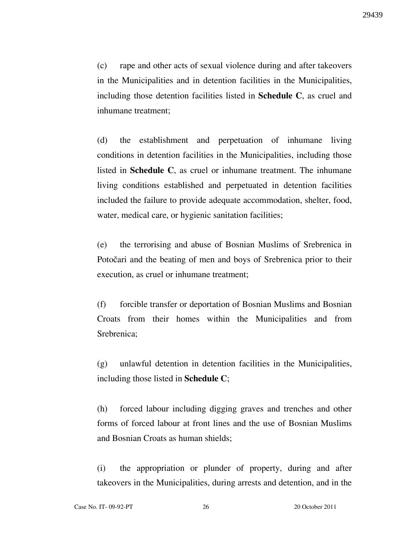(c) rape and other acts of sexual violence during and after takeovers in the Municipalities and in detention facilities in the Municipalities, including those detention facilities listed in **Schedule C**, as cruel and inhumane treatment;

(d) the establishment and perpetuation of inhumane living conditions in detention facilities in the Municipalities, including those listed in Schedule C, as cruel or inhumane treatment. The inhumane living conditions established and perpetuated in detention facilities included the failure to provide adequate accommodation, shelter, food, water, medical care, or hygienic sanitation facilities;

(e) the terrorising and abuse of Bosnian Muslims of Srebrenica in Potočari and the beating of men and boys of Srebrenica prior to their execution, as cruel or inhumane treatment;

(f) forcible transfer or deportation of Bosnian Muslims and Bosnian Croats from their homes within the Municipalities and from Srebrenica;

(g) unlawful detention in detention facilities in the Municipalities, including those listed in Schedule C;

(h) forced labour including digging graves and trenches and other forms of forced labour at front lines and the use of Bosnian Muslims and Bosnian Croats as human shields;

(i) the appropriation or plunder of property, during and after takeovers in the Municipalities, during arrests and detention, and in the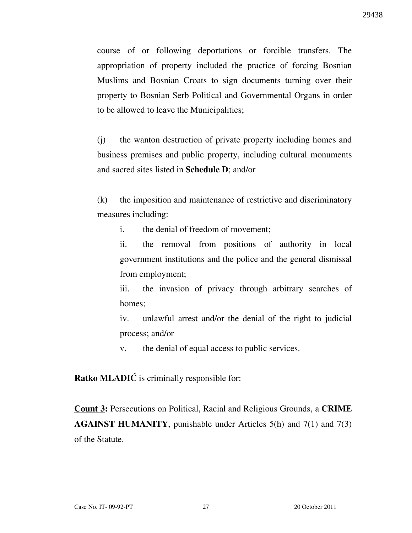course of or following deportations or forcible transfers. The appropriation of property included the practice of forcing Bosnian Muslims and Bosnian Croats to sign documents turning over their property to Bosnian Serb Political and Governmental Organs in order to be allowed to leave the Municipalities;

(j) the wanton destruction of private property including homes and business premises and public property, including cultural monuments and sacred sites listed in Schedule D; and/or

(k) the imposition and maintenance of restrictive and discriminatory measures including:

i. the denial of freedom of movement;

ii. the removal from positions of authority in local government institutions and the police and the general dismissal from employment;

iii. the invasion of privacy through arbitrary searches of homes;

iv. unlawful arrest and/or the denial of the right to judicial process; and/or

v. the denial of equal access to public services.

**Ratko MLADIĆ** is criminally responsible for:

Count 3: Persecutions on Political, Racial and Religious Grounds, a CRIME AGAINST HUMANITY, punishable under Articles 5(h) and 7(1) and 7(3) of the Statute.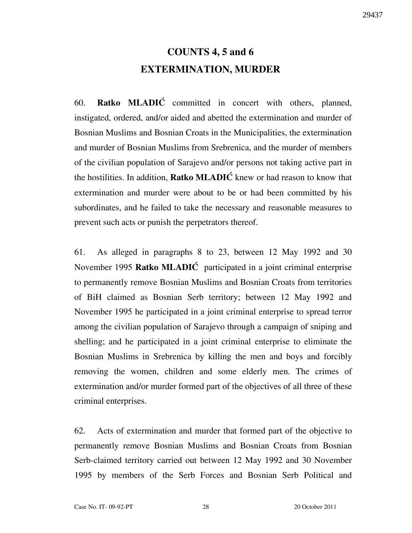# COUNTS 4, 5 and 6 EXTERMINATION, MURDER

60. Ratko MLADI $\acute{C}$  committed in concert with others, planned, instigated, ordered, and/or aided and abetted the extermination and murder of Bosnian Muslims and Bosnian Croats in the Municipalities, the extermination and murder of Bosnian Muslims from Srebrenica, and the murder of members of the civilian population of Sarajevo and/or persons not taking active part in the hostilities. In addition, **Ratko MLADIC** knew or had reason to know that extermination and murder were about to be or had been committed by his subordinates, and he failed to take the necessary and reasonable measures to prevent such acts or punish the perpetrators thereof.

61. As alleged in paragraphs 8 to 23, between 12 May 1992 and 30 November 1995 Ratko MLADIĆ participated in a joint criminal enterprise to permanently remove Bosnian Muslims and Bosnian Croats from territories of BiH claimed as Bosnian Serb territory; between 12 May 1992 and November 1995 he participated in a joint criminal enterprise to spread terror among the civilian population of Sarajevo through a campaign of sniping and shelling; and he participated in a joint criminal enterprise to eliminate the Bosnian Muslims in Srebrenica by killing the men and boys and forcibly removing the women, children and some elderly men. The crimes of extermination and/or murder formed part of the objectives of all three of these criminal enterprises.

62. Acts of extermination and murder that formed part of the objective to permanently remove Bosnian Muslims and Bosnian Croats from Bosnian Serb-claimed territory carried out between 12 May 1992 and 30 November 1995 by members of the Serb Forces and Bosnian Serb Political and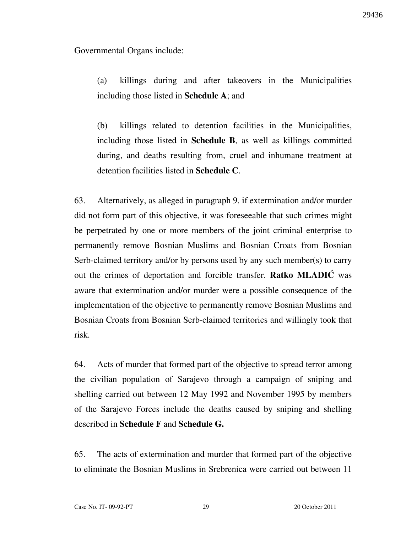Governmental Organs include:

(a) killings during and after takeovers in the Municipalities including those listed in Schedule A; and

(b) killings related to detention facilities in the Municipalities, including those listed in Schedule B, as well as killings committed during, and deaths resulting from, cruel and inhumane treatment at detention facilities listed in Schedule C.

63. Alternatively, as alleged in paragraph 9, if extermination and/or murder did not form part of this objective, it was foreseeable that such crimes might be perpetrated by one or more members of the joint criminal enterprise to permanently remove Bosnian Muslims and Bosnian Croats from Bosnian Serb-claimed territory and/or by persons used by any such member(s) to carry out the crimes of deportation and forcible transfer. Ratko MLADIĆ was aware that extermination and/or murder were a possible consequence of the implementation of the objective to permanently remove Bosnian Muslims and Bosnian Croats from Bosnian Serb-claimed territories and willingly took that risk.

64. Acts of murder that formed part of the objective to spread terror among the civilian population of Sarajevo through a campaign of sniping and shelling carried out between 12 May 1992 and November 1995 by members of the Sarajevo Forces include the deaths caused by sniping and shelling described in Schedule F and Schedule G.

65. The acts of extermination and murder that formed part of the objective to eliminate the Bosnian Muslims in Srebrenica were carried out between 11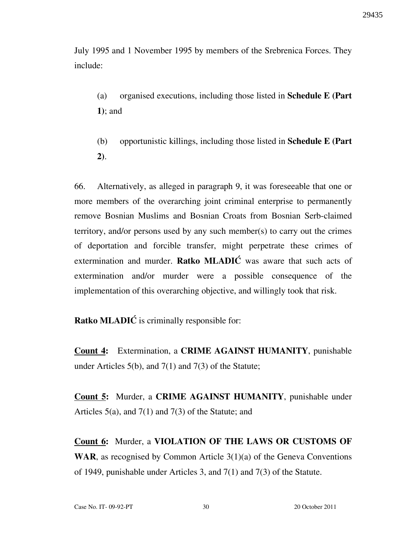July 1995 and 1 November 1995 by members of the Srebrenica Forces. They include:

- (a) organised executions, including those listed in Schedule E (Part 1); and
- (b) opportunistic killings, including those listed in **Schedule E** (Part 2).

66. Alternatively, as alleged in paragraph 9, it was foreseeable that one or more members of the overarching joint criminal enterprise to permanently remove Bosnian Muslims and Bosnian Croats from Bosnian Serb-claimed territory, and/or persons used by any such member(s) to carry out the crimes of deportation and forcible transfer, might perpetrate these crimes of extermination and murder. Ratko MLADI $\acute{C}$  was aware that such acts of extermination and/or murder were a possible consequence of the implementation of this overarching objective, and willingly took that risk.

Ratko MLADI $\acute{C}$  is criminally responsible for:

Count 4: Extermination, a CRIME AGAINST HUMANITY, punishable under Articles 5(b), and 7(1) and 7(3) of the Statute;

Count 5: Murder, a CRIME AGAINST HUMANITY, punishable under Articles 5(a), and 7(1) and 7(3) of the Statute; and

Count 6: Murder, a VIOLATION OF THE LAWS OR CUSTOMS OF **WAR**, as recognised by Common Article  $3(1)(a)$  of the Geneva Conventions of 1949, punishable under Articles 3, and 7(1) and 7(3) of the Statute.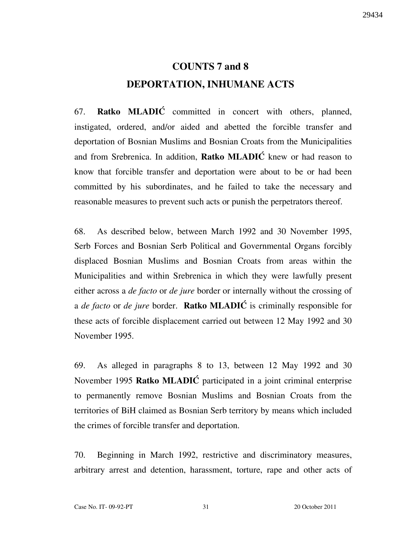# COUNTS 7 and 8 DEPORTATION, INHUMANE ACTS

67. **Ratko MLADIĆ** committed in concert with others, planned, instigated, ordered, and/or aided and abetted the forcible transfer and deportation of Bosnian Muslims and Bosnian Croats from the Municipalities and from Srebrenica. In addition, **Ratko MLADIC** knew or had reason to know that forcible transfer and deportation were about to be or had been committed by his subordinates, and he failed to take the necessary and reasonable measures to prevent such acts or punish the perpetrators thereof.

68. As described below, between March 1992 and 30 November 1995, Serb Forces and Bosnian Serb Political and Governmental Organs forcibly displaced Bosnian Muslims and Bosnian Croats from areas within the Municipalities and within Srebrenica in which they were lawfully present either across a *de facto* or *de jure* border or internally without the crossing of a *de facto* or *de jure* border. **Ratko MLADIC** is criminally responsible for these acts of forcible displacement carried out between 12 May 1992 and 30 November 1995.

69. As alleged in paragraphs 8 to 13, between 12 May 1992 and 30 November 1995 Ratko MLADIC participated in a joint criminal enterprise to permanently remove Bosnian Muslims and Bosnian Croats from the territories of BiH claimed as Bosnian Serb territory by means which included the crimes of forcible transfer and deportation.

70. Beginning in March 1992, restrictive and discriminatory measures, arbitrary arrest and detention, harassment, torture, rape and other acts of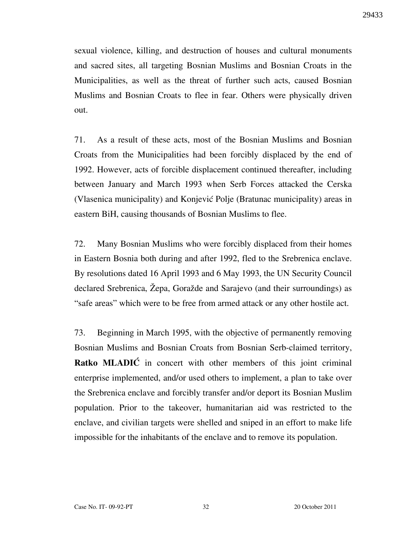sexual violence, killing, and destruction of houses and cultural monuments and sacred sites, all targeting Bosnian Muslims and Bosnian Croats in the Municipalities, as well as the threat of further such acts, caused Bosnian Muslims and Bosnian Croats to flee in fear. Others were physically driven out.

71. As a result of these acts, most of the Bosnian Muslims and Bosnian Croats from the Municipalities had been forcibly displaced by the end of 1992. However, acts of forcible displacement continued thereafter, including between January and March 1993 when Serb Forces attacked the Cerska (Vlasenica municipality) and Konjević Polje (Bratunac municipality) areas in eastern BiH, causing thousands of Bosnian Muslims to flee.

72. Many Bosnian Muslims who were forcibly displaced from their homes in Eastern Bosnia both during and after 1992, fled to the Srebrenica enclave. By resolutions dated 16 April 1993 and 6 May 1993, the UN Security Council declared Srebrenica, Žepa, Goražde and Sarajevo (and their surroundings) as "safe areas" which were to be free from armed attack or any other hostile act.

73. Beginning in March 1995, with the objective of permanently removing Bosnian Muslims and Bosnian Croats from Bosnian Serb-claimed territory, Ratko MLADIC in concert with other members of this joint criminal enterprise implemented, and/or used others to implement, a plan to take over the Srebrenica enclave and forcibly transfer and/or deport its Bosnian Muslim population. Prior to the takeover, humanitarian aid was restricted to the enclave, and civilian targets were shelled and sniped in an effort to make life impossible for the inhabitants of the enclave and to remove its population.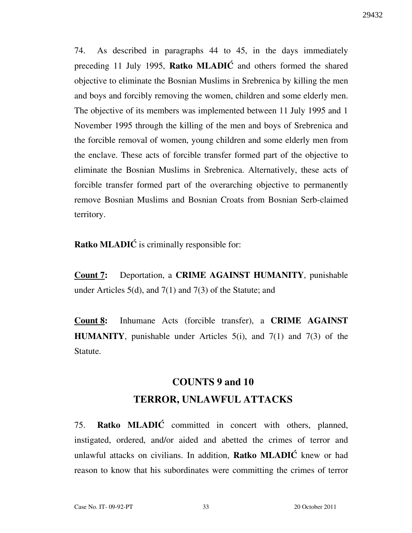74. As described in paragraphs 44 to 45, in the days immediately preceding 11 July 1995, Ratko MLADIĆ and others formed the shared objective to eliminate the Bosnian Muslims in Srebrenica by killing the men and boys and forcibly removing the women, children and some elderly men. The objective of its members was implemented between 11 July 1995 and 1 November 1995 through the killing of the men and boys of Srebrenica and the forcible removal of women, young children and some elderly men from the enclave. These acts of forcible transfer formed part of the objective to eliminate the Bosnian Muslims in Srebrenica. Alternatively, these acts of forcible transfer formed part of the overarching objective to permanently remove Bosnian Muslims and Bosnian Croats from Bosnian Serb-claimed territory.

**Ratko MLADIĆ** is criminally responsible for:

Count 7: Deportation, a CRIME AGAINST HUMANITY, punishable under Articles 5(d), and 7(1) and 7(3) of the Statute; and

Count 8: Inhumane Acts (forcible transfer), a CRIME AGAINST **HUMANITY**, punishable under Articles  $5(i)$ , and  $7(1)$  and  $7(3)$  of the Statute.

# COUNTS 9 and 10 TERROR, UNLAWFUL ATTACKS

75. Ratko MLADIĆ committed in concert with others, planned, instigated, ordered, and/or aided and abetted the crimes of terror and unlawful attacks on civilians. In addition, Ratko MLADIĆ knew or had reason to know that his subordinates were committing the crimes of terror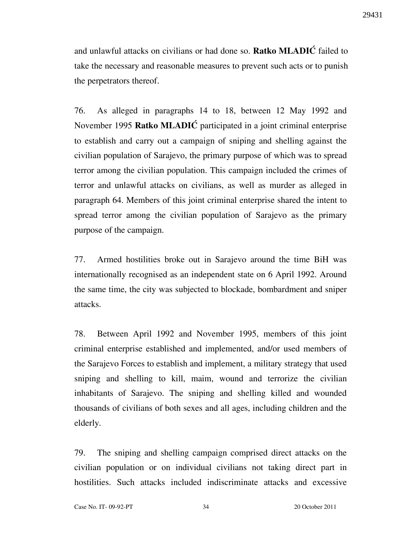and unlawful attacks on civilians or had done so. Ratko MLADIĆ failed to take the necessary and reasonable measures to prevent such acts or to punish the perpetrators thereof.

76. As alleged in paragraphs 14 to 18, between 12 May 1992 and November 1995 Ratko MLADIC participated in a joint criminal enterprise to establish and carry out a campaign of sniping and shelling against the civilian population of Sarajevo, the primary purpose of which was to spread terror among the civilian population. This campaign included the crimes of terror and unlawful attacks on civilians, as well as murder as alleged in paragraph 64. Members of this joint criminal enterprise shared the intent to spread terror among the civilian population of Sarajevo as the primary purpose of the campaign.

77. Armed hostilities broke out in Sarajevo around the time BiH was internationally recognised as an independent state on 6 April 1992. Around the same time, the city was subjected to blockade, bombardment and sniper attacks.

78. Between April 1992 and November 1995, members of this joint criminal enterprise established and implemented, and/or used members of the Sarajevo Forces to establish and implement, a military strategy that used sniping and shelling to kill, maim, wound and terrorize the civilian inhabitants of Sarajevo. The sniping and shelling killed and wounded thousands of civilians of both sexes and all ages, including children and the elderly.

79. The sniping and shelling campaign comprised direct attacks on the civilian population or on individual civilians not taking direct part in hostilities. Such attacks included indiscriminate attacks and excessive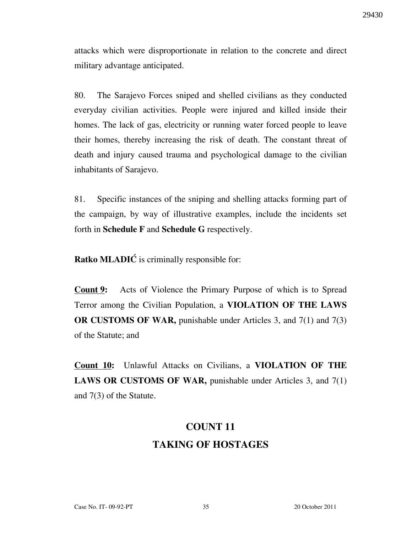attacks which were disproportionate in relation to the concrete and direct military advantage anticipated.

80. The Sarajevo Forces sniped and shelled civilians as they conducted everyday civilian activities. People were injured and killed inside their homes. The lack of gas, electricity or running water forced people to leave their homes, thereby increasing the risk of death. The constant threat of death and injury caused trauma and psychological damage to the civilian inhabitants of Sarajevo.

81. Specific instances of the sniping and shelling attacks forming part of the campaign, by way of illustrative examples, include the incidents set forth in Schedule F and Schedule G respectively.

**Ratko MLADIĆ** is criminally responsible for:

**Count 9:** Acts of Violence the Primary Purpose of which is to Spread Terror among the Civilian Population, a VIOLATION OF THE LAWS OR CUSTOMS OF WAR, punishable under Articles 3, and 7(1) and 7(3) of the Statute; and

**Count 10:** Unlawful Attacks on Civilians, a VIOLATION OF THE LAWS OR CUSTOMS OF WAR, punishable under Articles 3, and 7(1) and 7(3) of the Statute.

# COUNT 11 TAKING OF HOSTAGES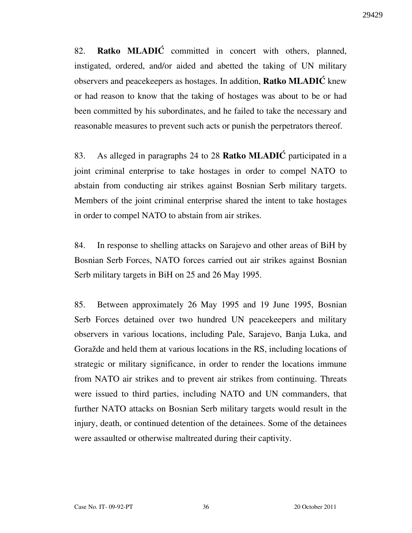82. **Ratko MLADIC** committed in concert with others, planned, instigated, ordered, and/or aided and abetted the taking of UN military observers and peacekeepers as hostages. In addition, **Ratko MLADIC** knew or had reason to know that the taking of hostages was about to be or had been committed by his subordinates, and he failed to take the necessary and reasonable measures to prevent such acts or punish the perpetrators thereof.

83. As alleged in paragraphs 24 to 28 Ratko MLADIĆ participated in a joint criminal enterprise to take hostages in order to compel NATO to abstain from conducting air strikes against Bosnian Serb military targets. Members of the joint criminal enterprise shared the intent to take hostages in order to compel NATO to abstain from air strikes.

84. In response to shelling attacks on Sarajevo and other areas of BiH by Bosnian Serb Forces, NATO forces carried out air strikes against Bosnian Serb military targets in BiH on 25 and 26 May 1995.

85. Between approximately 26 May 1995 and 19 June 1995, Bosnian Serb Forces detained over two hundred UN peacekeepers and military observers in various locations, including Pale, Sarajevo, Banja Luka, and Goražde and held them at various locations in the RS, including locations of strategic or military significance, in order to render the locations immune from NATO air strikes and to prevent air strikes from continuing. Threats were issued to third parties, including NATO and UN commanders, that further NATO attacks on Bosnian Serb military targets would result in the injury, death, or continued detention of the detainees. Some of the detainees were assaulted or otherwise maltreated during their captivity.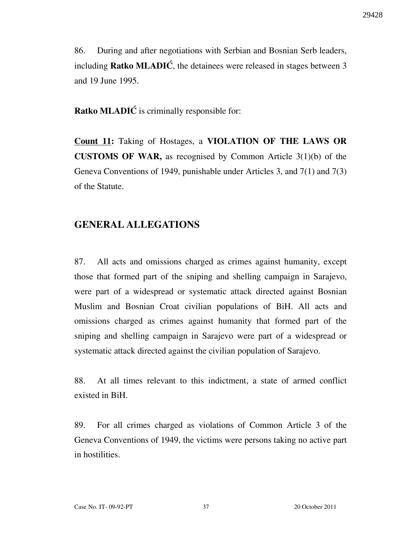86. During and after negotiations with Serbian and Bosnian Serb leaders, including **Ratko MLADIC**, the detainees were released in stages between  $3$ and 19 June 1995.

Ratko MLADI $\acute{C}$  is criminally responsible for:

Count 11: Taking of Hostages, a VIOLATION OF THE LAWS OR CUSTOMS OF WAR, as recognised by Common Article 3(1)(b) of the Geneva Conventions of 1949, punishable under Articles 3, and 7(1) and 7(3) of the Statute.

### GENERAL ALLEGATIONS

87. All acts and omissions charged as crimes against humanity, except those that formed part of the sniping and shelling campaign in Sarajevo, were part of a widespread or systematic attack directed against Bosnian Muslim and Bosnian Croat civilian populations of BiH. All acts and omissions charged as crimes against humanity that formed part of the sniping and shelling campaign in Sarajevo were part of a widespread or systematic attack directed against the civilian population of Sarajevo.

88. At all times relevant to this indictment, a state of armed conflict existed in BiH.

89. For all crimes charged as violations of Common Article 3 of the Geneva Conventions of 1949, the victims were persons taking no active part in hostilities.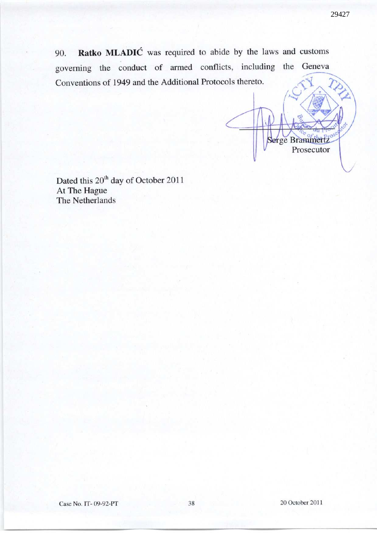ge Brammertz

Prosecutor

90. Ratko MLADIĆ was required to abide by the laws and customs governing the conduct of armed conflicts, including the Geneva Conventions of 1949 and the Additional Protocols thereto.

Dated this 20<sup>th</sup> day of October 2011 At The Hague The Netherlands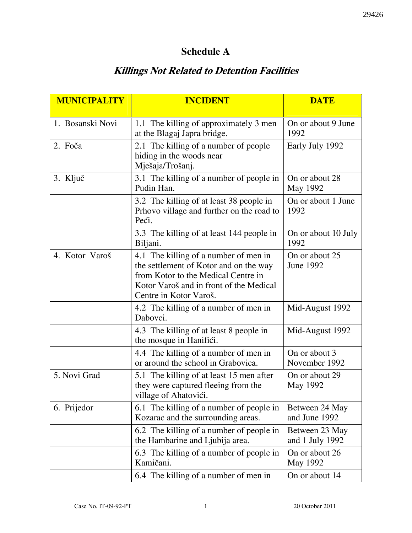## Schedule A

# Killings Not Related to Detention Facilities

| <b>MUNICIPALITY</b> | <b>INCIDENT</b>                                                                                                                                                                             | <b>DATE</b>                        |
|---------------------|---------------------------------------------------------------------------------------------------------------------------------------------------------------------------------------------|------------------------------------|
| 1. Bosanski Novi    | 1.1 The killing of approximately 3 men<br>at the Blagaj Japra bridge.                                                                                                                       | On or about 9 June<br>1992         |
| 2. Foča             | 2.1 The killing of a number of people<br>hiding in the woods near<br>Mješaja/Trošanj.                                                                                                       | Early July 1992                    |
| 3. Ključ            | 3.1 The killing of a number of people in<br>Pudin Han.                                                                                                                                      | On or about 28<br>May 1992         |
|                     | 3.2 The killing of at least 38 people in<br>Prhovo village and further on the road to<br>Peći.                                                                                              | On or about 1 June<br>1992         |
|                     | 3.3 The killing of at least 144 people in<br>Biljani.                                                                                                                                       | On or about 10 July<br>1992        |
| 4. Kotor Varoš      | 4.1 The killing of a number of men in<br>the settlement of Kotor and on the way<br>from Kotor to the Medical Centre in<br>Kotor Varoš and in front of the Medical<br>Centre in Kotor Varoš. | On or about 25<br><b>June 1992</b> |
|                     | 4.2 The killing of a number of men in<br>Dabovci.                                                                                                                                           | Mid-August 1992                    |
|                     | 4.3 The killing of at least 8 people in<br>the mosque in Hanifici.                                                                                                                          | Mid-August 1992                    |
|                     | 4.4 The killing of a number of men in<br>or around the school in Grabovica.                                                                                                                 | On or about 3<br>November 1992     |
| 5. Novi Grad        | 5.1 The killing of at least 15 men after<br>they were captured fleeing from the<br>village of Ahatovići.                                                                                    | On or about 29<br>May 1992         |
| 6. Prijedor         | 6.1 The killing of a number of people in<br>Kozarac and the surrounding areas.                                                                                                              | Between 24 May<br>and June 1992    |
|                     | 6.2 The killing of a number of people in<br>the Hambarine and Ljubija area.                                                                                                                 | Between 23 May<br>and 1 July 1992  |
|                     | 6.3 The killing of a number of people in<br>Kamičani.                                                                                                                                       | On or about 26<br>May 1992         |
|                     | 6.4 The killing of a number of men in                                                                                                                                                       | On or about 14                     |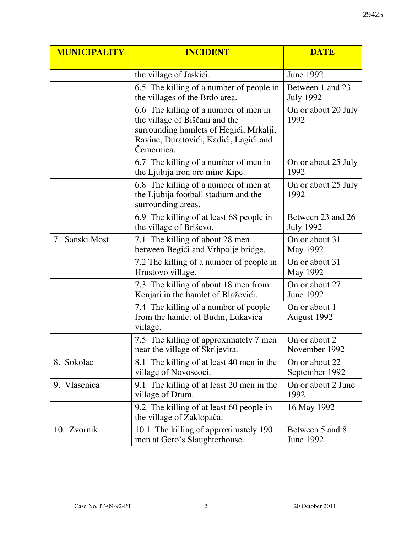| <b>MUNICIPALITY</b> | <b>INCIDENT</b>                                                                                                                                                            | <b>DATE</b>                           |
|---------------------|----------------------------------------------------------------------------------------------------------------------------------------------------------------------------|---------------------------------------|
|                     | the village of Jaskići.                                                                                                                                                    | June 1992                             |
|                     | 6.5 The killing of a number of people in<br>the villages of the Brdo area.                                                                                                 | Between 1 and 23<br><b>July 1992</b>  |
|                     | 6.6 The killing of a number of men in<br>the village of Biščani and the<br>surrounding hamlets of Hegići, Mrkalji,<br>Ravine, Duratovići, Kadići, Lagići and<br>Čemernica. | On or about 20 July<br>1992           |
|                     | 6.7 The killing of a number of men in<br>the Ljubija iron ore mine Kipe.                                                                                                   | On or about 25 July<br>1992           |
|                     | 6.8 The killing of a number of men at<br>the Ljubija football stadium and the<br>surrounding areas.                                                                        | On or about 25 July<br>1992           |
|                     | 6.9 The killing of at least 68 people in<br>the village of Briševo.                                                                                                        | Between 23 and 26<br><b>July 1992</b> |
| 7. Sanski Most      | 7.1 The killing of about 28 men<br>between Begići and Vrhpolje bridge.                                                                                                     | On or about 31<br>May 1992            |
|                     | 7.2 The killing of a number of people in<br>Hrustovo village.                                                                                                              | On or about 31<br>May 1992            |
|                     | 7.3 The killing of about 18 men from<br>Kenjari in the hamlet of Blaževići.                                                                                                | On or about 27<br><b>June 1992</b>    |
|                     | 7.4 The killing of a number of people<br>from the hamlet of Budin, Lukavica<br>village.                                                                                    | On or about 1<br>August 1992          |
|                     | 7.5 The killing of approximately 7 men<br>near the village of Škrljevita.                                                                                                  | On or about 2<br>November 1992        |
| 8. Sokolac          | 8.1 The killing of at least 40 men in the<br>village of Novoseoci.                                                                                                         | On or about 22<br>September 1992      |
| 9. Vlasenica        | 9.1 The killing of at least 20 men in the<br>village of Drum.                                                                                                              | On or about 2 June<br>1992            |
|                     | 9.2 The killing of at least 60 people in<br>the village of Zaklopača.                                                                                                      | 16 May 1992                           |
| 10. Zvornik         | 10.1 The killing of approximately 190<br>men at Gero's Slaughterhouse.                                                                                                     | Between 5 and 8<br>June 1992          |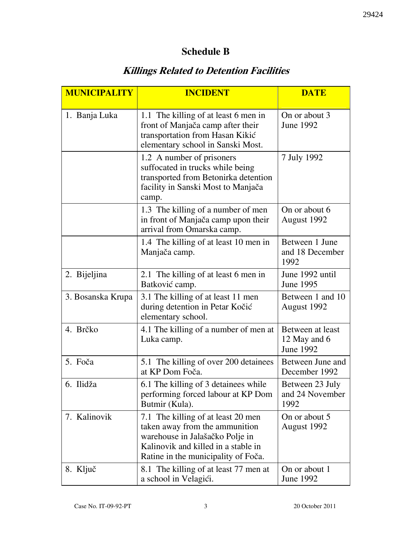## Schedule B

## Killings Related to Detention Facilities

| <b>MUNICIPALITY</b> | <b>INCIDENT</b>                                                                                                                                                                       | <b>DATE</b>                                          |
|---------------------|---------------------------------------------------------------------------------------------------------------------------------------------------------------------------------------|------------------------------------------------------|
| 1. Banja Luka       | 1.1 The killing of at least 6 men in<br>front of Manjača camp after their<br>transportation from Hasan Kikić<br>elementary school in Sanski Most.                                     | On or about 3<br><b>June 1992</b>                    |
|                     | 1.2 A number of prisoners<br>suffocated in trucks while being<br>transported from Betonirka detention<br>facility in Sanski Most to Manjača<br>camp.                                  | 7 July 1992                                          |
|                     | 1.3 The killing of a number of men<br>in front of Manjača camp upon their<br>arrival from Omarska camp.                                                                               | On or about 6<br>August 1992                         |
|                     | 1.4 The killing of at least 10 men in<br>Manjača camp.                                                                                                                                | Between 1 June<br>and 18 December<br>1992            |
| 2. Bijeljina        | 2.1 The killing of at least 6 men in<br>Batković camp.                                                                                                                                | June 1992 until<br><b>June 1995</b>                  |
| 3. Bosanska Krupa   | 3.1 The killing of at least 11 men<br>during detention in Petar Kočić<br>elementary school.                                                                                           | Between 1 and 10<br>August 1992                      |
| 4. Brčko            | 4.1 The killing of a number of men at<br>Luka camp.                                                                                                                                   | Between at least<br>12 May and 6<br><b>June 1992</b> |
| 5. Foča             | 5.1 The killing of over 200 detainees<br>at KP Dom Foča.                                                                                                                              | Between June and<br>December 1992                    |
| 6. Ilidža           | 6.1 The killing of 3 detainees while<br>performing forced labour at KP Dom<br>Butmir (Kula).                                                                                          | Between 23 July<br>and 24 November<br>1992           |
| 7. Kalinovik        | 7.1 The killing of at least 20 men<br>taken away from the ammunition<br>warehouse in Jalašačko Polje in<br>Kalinovik and killed in a stable in<br>Ratine in the municipality of Foča. | On or about 5<br>August 1992                         |
| 8. Ključ            | 8.1 The killing of at least 77 men at<br>a school in Velagići.                                                                                                                        | On or about 1<br>June 1992                           |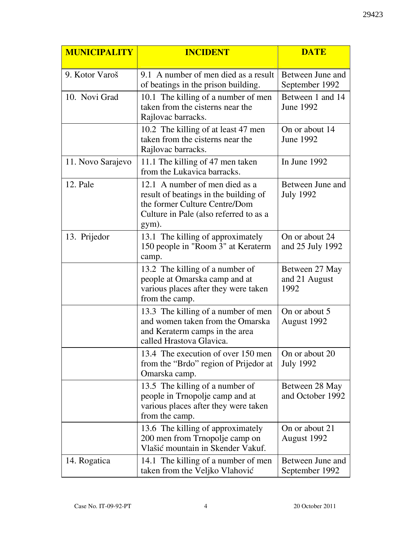| <b>MUNICIPALITY</b> | <b>INCIDENT</b>                                                                                                                                             | <b>DATE</b>                             |
|---------------------|-------------------------------------------------------------------------------------------------------------------------------------------------------------|-----------------------------------------|
| 9. Kotor Varoš      | 9.1 A number of men died as a result<br>of beatings in the prison building.                                                                                 | Between June and<br>September 1992      |
| 10. Novi Grad       | 10.1 The killing of a number of men<br>taken from the cisterns near the<br>Rajlovac barracks.                                                               | Between 1 and 14<br>June 1992           |
|                     | 10.2 The killing of at least 47 men<br>taken from the cisterns near the<br>Rajlovac barracks.                                                               | On or about 14<br>June 1992             |
| 11. Novo Sarajevo   | 11.1 The killing of 47 men taken<br>from the Lukavica barracks.                                                                                             | In June 1992                            |
| 12. Pale            | 12.1 A number of men died as a<br>result of beatings in the building of<br>the former Culture Centre/Dom<br>Culture in Pale (also referred to as a<br>gym). | Between June and<br><b>July 1992</b>    |
| 13. Prijedor        | 13.1 The killing of approximately<br>150 people in "Room 3" at Keraterm<br>camp.                                                                            | On or about 24<br>and 25 July 1992      |
|                     | 13.2 The killing of a number of<br>people at Omarska camp and at<br>various places after they were taken<br>from the camp.                                  | Between 27 May<br>and 21 August<br>1992 |
|                     | 13.3 The killing of a number of men<br>and women taken from the Omarska<br>and Keraterm camps in the area<br>called Hrastova Glavica.                       | On or about 5<br>August 1992            |
|                     | 13.4 The execution of over 150 men<br>from the "Brdo" region of Prijedor at<br>Omarska camp.                                                                | On or about 20<br><b>July 1992</b>      |
|                     | 13.5 The killing of a number of<br>people in Trnopolje camp and at<br>various places after they were taken<br>from the camp.                                | Between 28 May<br>and October 1992      |
|                     | 13.6 The killing of approximately<br>200 men from Trnopolje camp on<br>Vlašić mountain in Skender Vakuf.                                                    | On or about 21<br>August 1992           |
| 14. Rogatica        | 14.1 The killing of a number of men<br>taken from the Veljko Vlahović                                                                                       | Between June and<br>September 1992      |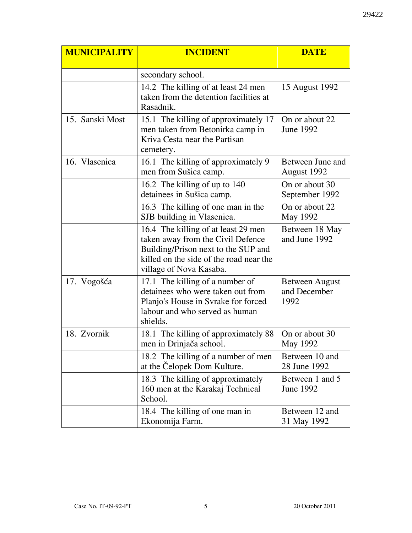| <b>MUNICIPALITY</b> | <b>INCIDENT</b>                                                                                                                                                                       | <b>DATE</b>                                   |
|---------------------|---------------------------------------------------------------------------------------------------------------------------------------------------------------------------------------|-----------------------------------------------|
|                     | secondary school.                                                                                                                                                                     |                                               |
|                     | 14.2 The killing of at least 24 men<br>taken from the detention facilities at<br>Rasadnik.                                                                                            | 15 August 1992                                |
| 15. Sanski Most     | 15.1 The killing of approximately 17<br>men taken from Betonirka camp in<br>Kriva Cesta near the Partisan<br>cemetery.                                                                | On or about 22<br>June 1992                   |
| 16. Vlasenica       | 16.1 The killing of approximately 9<br>men from Sušica camp.                                                                                                                          | Between June and<br>August 1992               |
|                     | 16.2 The killing of up to 140<br>detainees in Sušica camp.                                                                                                                            | On or about 30<br>September 1992              |
|                     | 16.3 The killing of one man in the<br>SJB building in Vlasenica.                                                                                                                      | On or about 22<br>May 1992                    |
|                     | 16.4 The killing of at least 29 men<br>taken away from the Civil Defence<br>Building/Prison next to the SUP and<br>killed on the side of the road near the<br>village of Nova Kasaba. | Between 18 May<br>and June 1992               |
| 17. Vogošća         | 17.1 The killing of a number of<br>detainees who were taken out from<br>Planjo's House in Svrake for forced<br>labour and who served as human<br>shields.                             | <b>Between August</b><br>and December<br>1992 |
| 18. Zvornik         | 18.1 The killing of approximately 88<br>men in Drinjača school.                                                                                                                       | On or about 30<br>May 1992                    |
|                     | 18.2 The killing of a number of men<br>at the Čelopek Dom Kulture.                                                                                                                    | Between 10 and<br>28 June 1992                |
|                     | 18.3 The killing of approximately<br>160 men at the Karakaj Technical<br>School.                                                                                                      | Between 1 and 5<br>June 1992                  |
|                     | 18.4 The killing of one man in<br>Ekonomija Farm.                                                                                                                                     | Between 12 and<br>31 May 1992                 |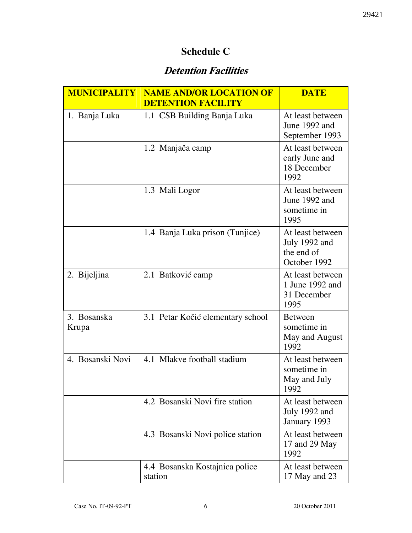### Schedule C

## Detention Facilities

| <b>MUNICIPALITY</b>  | <b>NAME AND/OR LOCATION OF</b><br><b>DETENTION FACILITY</b> | <b>DATE</b>                                                     |
|----------------------|-------------------------------------------------------------|-----------------------------------------------------------------|
| 1. Banja Luka        | 1.1 CSB Building Banja Luka                                 | At least between<br>June 1992 and<br>September 1993             |
|                      | 1.2 Manjača camp                                            | At least between<br>early June and<br>18 December<br>1992       |
|                      | 1.3 Mali Logor                                              | At least between<br>June 1992 and<br>sometime in<br>1995        |
|                      | 1.4 Banja Luka prison (Tunjice)                             | At least between<br>July 1992 and<br>the end of<br>October 1992 |
| 2. Bijeljina         | 2.1 Batković camp                                           | At least between<br>1 June 1992 and<br>31 December<br>1995      |
| 3. Bosanska<br>Krupa | 3.1 Petar Kočić elementary school                           | <b>Between</b><br>sometime in<br>May and August<br>1992         |
| 4. Bosanski Novi     | 4.1 Mlakve football stadium                                 | At least between<br>sometime in<br>May and July<br>1992         |
|                      | 4.2 Bosanski Novi fire station                              | At least between<br>July 1992 and<br>January 1993               |
|                      | 4.3 Bosanski Novi police station                            | At least between<br>17 and 29 May<br>1992                       |
|                      | 4.4 Bosanska Kostajnica police<br>station                   | At least between<br>17 May and 23                               |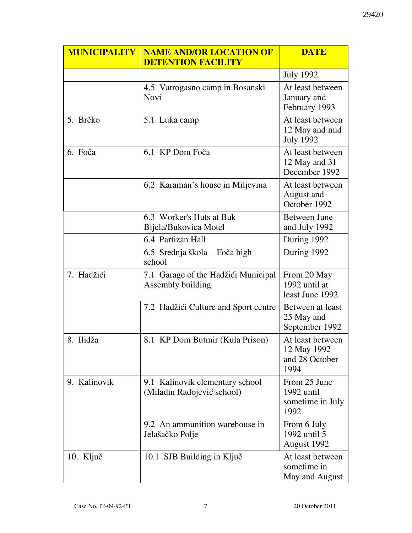| <b>MUNICIPALITY</b> | <b>NAME AND/OR LOCATION OF</b><br><b>DETENTION FACILITY</b>   | <b>DATE</b>                                               |
|---------------------|---------------------------------------------------------------|-----------------------------------------------------------|
|                     |                                                               | <b>July 1992</b>                                          |
|                     | 4.5 Vatrogasno camp in Bosanski<br>Novi                       | At least between<br>January and<br>February 1993          |
| 5. Brčko            | 5.1 Luka camp                                                 | At least between<br>12 May and mid<br><b>July 1992</b>    |
| 6. Foča             | 6.1 KP Dom Foča                                               | At least between<br>12 May and 31<br>December 1992        |
|                     | 6.2 Karaman's house in Miljevina                              | At least between<br>August and<br>October 1992            |
|                     | 6.3 Worker's Huts at Buk<br>Bijela/Bukovica Motel             | <b>Between June</b><br>and July 1992                      |
|                     | 6.4 Partizan Hall                                             | During 1992                                               |
|                     | 6.5 Srednja škola – Foča high<br>school                       | During 1992                                               |
| 7. Hadžići          | 7.1 Garage of the Hadžići Municipal<br>Assembly building      | From 20 May<br>1992 until at<br>least June 1992           |
|                     | 7.2 Hadžići Culture and Sport centre                          | Between at least<br>25 May and<br>September 1992          |
| 8. Ilidža           | 8.1 KP Dom Butmir (Kula Prison)                               | At least between<br>12 May 1992<br>and 28 October<br>1994 |
| 9. Kalinovik        | 9.1 Kalinovik elementary school<br>(Miladin Radojević school) | From 25 June<br>1992 until<br>sometime in July<br>1992    |
|                     | 9.2 An ammunition warehouse in<br>Jelašačko Polje             | From 6 July<br>1992 until 5<br>August 1992                |
| 10. Ključ           | 10.1 SJB Building in Ključ                                    | At least between<br>sometime in<br>May and August         |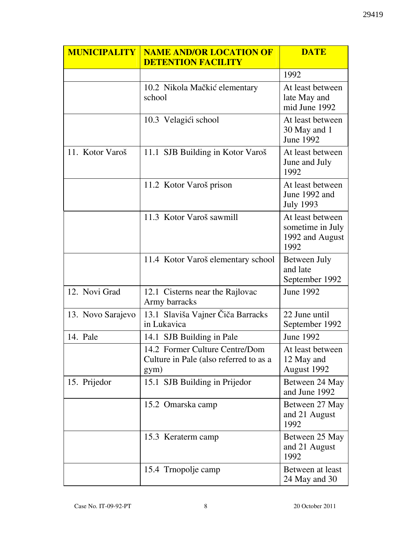| <b>MUNICIPALITY</b> | <b>NAME AND/OR LOCATION OF</b><br><b>DETENTION FACILITY</b>                      | <b>DATE</b>                                                     |
|---------------------|----------------------------------------------------------------------------------|-----------------------------------------------------------------|
|                     |                                                                                  | 1992                                                            |
|                     | 10.2 Nikola Mačkić elementary<br>school                                          | At least between<br>late May and<br>mid June 1992               |
|                     | 10.3 Velagići school                                                             | At least between<br>30 May and 1<br><b>June 1992</b>            |
| 11. Kotor Varoš     | 11.1 SJB Building in Kotor Varoš                                                 | At least between<br>June and July<br>1992                       |
|                     | 11.2 Kotor Varoš prison                                                          | At least between<br>June 1992 and<br><b>July 1993</b>           |
|                     | 11.3 Kotor Varoš sawmill                                                         | At least between<br>sometime in July<br>1992 and August<br>1992 |
|                     | 11.4 Kotor Varoš elementary school                                               | Between July<br>and late<br>September 1992                      |
| 12. Novi Grad       | 12.1 Cisterns near the Rajlovac<br>Army barracks                                 | June 1992                                                       |
| 13. Novo Sarajevo   | 13.1 Slaviša Vajner Čiča Barracks<br>in Lukavica                                 | 22 June until<br>September 1992                                 |
| 14. Pale            | 14.1 SJB Building in Pale                                                        | June 1992                                                       |
|                     | 14.2 Former Culture Centre/Dom<br>Culture in Pale (also referred to as a<br>gym) | At least between<br>12 May and<br>August 1992                   |
| 15. Prijedor        | 15.1 SJB Building in Prijedor                                                    | Between 24 May<br>and June 1992                                 |
|                     | 15.2 Omarska camp                                                                | Between 27 May<br>and 21 August<br>1992                         |
|                     | 15.3 Keraterm camp                                                               | Between 25 May<br>and 21 August<br>1992                         |
|                     | 15.4 Trnopolje camp                                                              | Between at least<br>24 May and 30                               |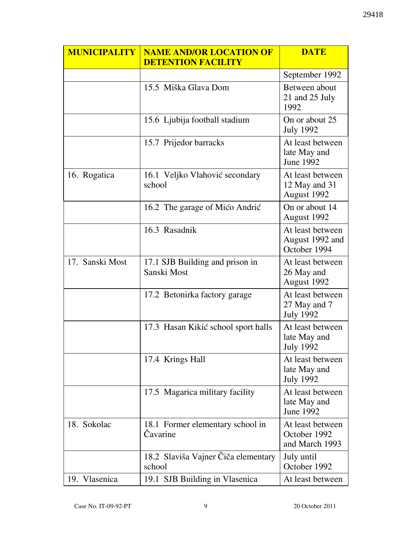| <b>MUNICIPALITY</b> | <b>NAME AND/OR LOCATION OF</b><br><b>DETENTION FACILITY</b> | <b>DATE</b>                                          |
|---------------------|-------------------------------------------------------------|------------------------------------------------------|
|                     |                                                             | September 1992                                       |
|                     | 15.5 Miška Glava Dom                                        | Between about<br>21 and 25 July<br>1992              |
|                     | 15.6 Ljubija football stadium                               | On or about 25<br><b>July 1992</b>                   |
|                     | 15.7 Prijedor barracks                                      | At least between<br>late May and<br>June 1992        |
| 16. Rogatica        | 16.1 Veljko Vlahović secondary<br>school                    | At least between<br>12 May and 31<br>August 1992     |
|                     | 16.2 The garage of Mićo Andrić                              | On or about 14<br>August 1992                        |
|                     | 16.3 Rasadnik                                               | At least between<br>August 1992 and<br>October 1994  |
| 17. Sanski Most     | 17.1 SJB Building and prison in<br>Sanski Most              | At least between<br>26 May and<br>August 1992        |
|                     | 17.2 Betonirka factory garage                               | At least between<br>27 May and 7<br><b>July 1992</b> |
|                     | 17.3 Hasan Kikić school sport halls                         | At least between<br>late May and<br><b>July 1992</b> |
|                     | 17.4 Krings Hall                                            | At least between<br>late May and<br><b>July 1992</b> |
|                     | 17.5 Magarica military facility                             | At least between<br>late May and<br><b>June 1992</b> |
| 18. Sokolac         | 18.1 Former elementary school in<br>Čavarine                | At least between<br>October 1992<br>and March 1993   |
|                     | 18.2 Slaviša Vajner Čiča elementary<br>school               | July until<br>October 1992                           |
| 19. Vlasenica       | 19.1 SJB Building in Vlasenica                              | At least between                                     |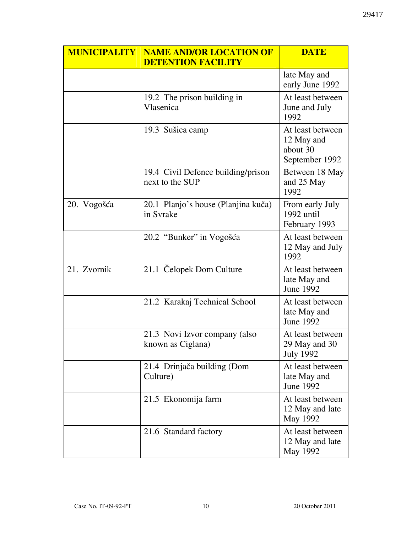| <b>MUNICIPALITY</b> | <b>NAME AND/OR LOCATION OF</b><br><b>DETENTION FACILITY</b> | <b>DATE</b>                                                  |
|---------------------|-------------------------------------------------------------|--------------------------------------------------------------|
|                     |                                                             | late May and<br>early June 1992                              |
|                     | 19.2 The prison building in<br>Vlasenica                    | At least between<br>June and July<br>1992                    |
|                     | 19.3 Sušica camp                                            | At least between<br>12 May and<br>about 30<br>September 1992 |
|                     | 19.4 Civil Defence building/prison<br>next to the SUP       | Between 18 May<br>and 25 May<br>1992                         |
| 20. Vogošća         | 20.1 Planjo's house (Planjina kuča)<br>in Svrake            | From early July<br>1992 until<br>February 1993               |
|                     | 20.2 "Bunker" in Vogošća                                    | At least between<br>12 May and July<br>1992                  |
| 21. Zvornik         | 21.1 Čelopek Dom Culture                                    | At least between<br>late May and<br><b>June 1992</b>         |
|                     | 21.2 Karakaj Technical School                               | At least between<br>late May and<br><b>June 1992</b>         |
|                     | 21.3 Novi Izvor company (also<br>known as Ciglana)          | At least between<br>29 May and 30<br><b>July 1992</b>        |
|                     | 21.4 Drinjača building (Dom<br>Culture)                     | At least between<br>late May and<br><b>June 1992</b>         |
|                     | 21.5 Ekonomija farm                                         | At least between<br>12 May and late<br>May 1992              |
|                     | 21.6 Standard factory                                       | At least between<br>12 May and late<br>May 1992              |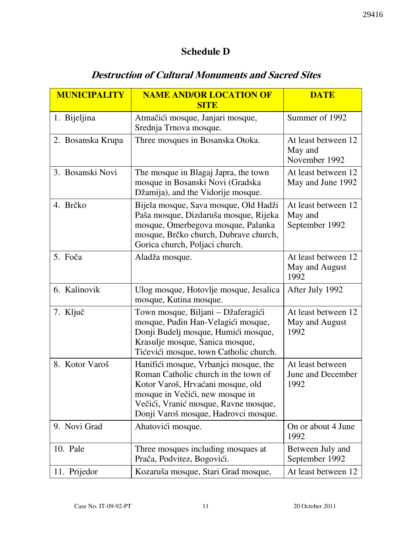### Schedule D

## Destruction of Cultural Monuments and Sacred Sites

| <b>MUNICIPALITY</b> | <b>NAME AND/OR LOCATION OF</b>                                                                                                                                                                                                        | <b>DATE</b>                                      |
|---------------------|---------------------------------------------------------------------------------------------------------------------------------------------------------------------------------------------------------------------------------------|--------------------------------------------------|
|                     | <b>SITE</b>                                                                                                                                                                                                                           |                                                  |
| 1. Bijeljina        | Atmačići mosque, Janjari mosque,<br>Srednja Trnova mosque.                                                                                                                                                                            | Summer of 1992                                   |
| 2. Bosanska Krupa   | Three mosques in Bosanska Otoka.                                                                                                                                                                                                      | At least between 12<br>May and<br>November 1992  |
| 3. Bosanski Novi    | The mosque in Blagaj Japra, the town<br>mosque in Bosanski Novi (Gradska<br>Džamija), and the Vidorije mosque.                                                                                                                        | At least between 12<br>May and June 1992         |
| 4. Brčko            | Bijela mosque, Sava mosque, Old Hadži<br>Paša mosque, Dizdaruša mosque, Rijeka<br>mosque, Omerbegova mosque, Palanka<br>mosque, Brčko church, Dubrave church,<br>Gorica church, Poljaci church.                                       | At least between 12<br>May and<br>September 1992 |
| 5. Foča             | Aladža mosque.                                                                                                                                                                                                                        | At least between 12<br>May and August<br>1992    |
| 6. Kalinovik        | Ulog mosque, Hotovlje mosque, Jesalica<br>mosque, Kutina mosque.                                                                                                                                                                      | After July 1992                                  |
| 7. Ključ            | Town mosque, Biljani - Džaferagići<br>mosque, Pudin Han-Velagići mosque,<br>Donji Budelj mosque, Humići mosque,<br>Krasulje mosque, Sanica mosque,<br>Tićevići mosque, town Catholic church.                                          | At least between 12<br>May and August<br>1992    |
| 8. Kotor Varoš      | Hanifići mosque, Vrbanjci mosque, the<br>Roman Catholic church in the town of<br>Kotor Varoš, Hrvaćani mosque, old<br>mosque in Večići, new mosque in<br>Večići, Vranić mosque, Ravne mosque,<br>Donji Varoš mosque, Hadrovci mosque. | At least between<br>June and December<br>1992    |
| 9. Novi Grad        | Ahatovići mosque.                                                                                                                                                                                                                     | On or about 4 June<br>1992                       |
| 10. Pale            | Three mosques including mosques at<br>Prača, Podvitez, Bogovići.                                                                                                                                                                      | Between July and<br>September 1992               |
| 11. Prijedor        | Kozaruša mosque, Stari Grad mosque,                                                                                                                                                                                                   | At least between 12                              |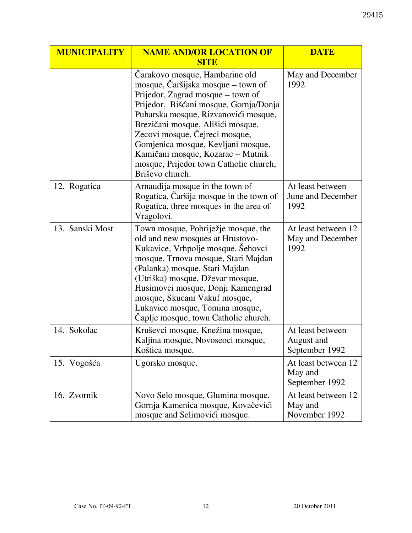| <b>MUNICIPALITY</b> | <b>NAME AND/OR LOCATION OF</b>                                                                                                                                                                                                                                                                                                                                                                             | <b>DATE</b>                                      |
|---------------------|------------------------------------------------------------------------------------------------------------------------------------------------------------------------------------------------------------------------------------------------------------------------------------------------------------------------------------------------------------------------------------------------------------|--------------------------------------------------|
|                     | <b>SITE</b>                                                                                                                                                                                                                                                                                                                                                                                                |                                                  |
|                     | Carakovo mosque, Hambarine old<br>mosque, Čaršijska mosque – town of<br>Prijedor, Zagrad mosque – town of<br>Prijedor, Bišćani mosque, Gornja/Donja<br>Puharska mosque, Rizvanovići mosque,<br>Brezičani mosque, Ališići mosque,<br>Zecovi mosque, Čejreci mosque,<br>Gomjenica mosque, Kevljani mosque,<br>Kamičani mosque, Kozarac - Mutnik<br>mosque, Prijedor town Catholic church,<br>Briševo church. | May and December<br>1992                         |
| 12. Rogatica        | Arnaudija mosque in the town of<br>Rogatica, Čaršija mosque in the town of<br>Rogatica, three mosques in the area of<br>Vragolovi.                                                                                                                                                                                                                                                                         | At least between<br>June and December<br>1992    |
| 13. Sanski Most     | Town mosque, Pobriježje mosque, the<br>old and new mosques at Hrustovo-<br>Kukavice, Vrhpolje mosque, Šehovci<br>mosque, Trnova mosque, Stari Majdan<br>(Palanka) mosque, Stari Majdan<br>(Utriška) mosque, Dževar mosque,<br>Husimovci mosque, Donji Kamengrad<br>mosque, Skucani Vakuf mosque,<br>Lukavice mosque, Tomina mosque,<br>Caplje mosque, town Catholic church.                                | At least between 12<br>May and December<br>1992  |
| 14. Sokolac         | Kruševci mosque, Knežina mosque,<br>Kaljina mosque, Novoseoci mosque,<br>Koštica mosque.                                                                                                                                                                                                                                                                                                                   | At least between<br>August and<br>September 1992 |
| 15. Vogošća         | Ugorsko mosque.                                                                                                                                                                                                                                                                                                                                                                                            | At least between 12<br>May and<br>September 1992 |
| 16. Zvornik         | Novo Selo mosque, Glumina mosque,<br>Gornja Kamenica mosque, Kovačevići<br>mosque and Selimovići mosque.                                                                                                                                                                                                                                                                                                   | At least between 12<br>May and<br>November 1992  |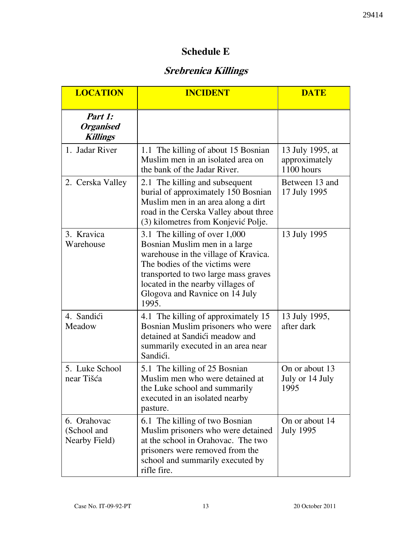### Schedule E

# Srebrenica Killings

| <b>LOCATION</b>                                     | <b>INCIDENT</b>                                                                                                                                                                                                                                                  | <b>DATE</b>                                     |
|-----------------------------------------------------|------------------------------------------------------------------------------------------------------------------------------------------------------------------------------------------------------------------------------------------------------------------|-------------------------------------------------|
| Part 1:<br><b>Organised</b><br><b>Killings</b>      |                                                                                                                                                                                                                                                                  |                                                 |
| 1. Jadar River                                      | 1.1 The killing of about 15 Bosnian<br>Muslim men in an isolated area on<br>the bank of the Jadar River.                                                                                                                                                         | 13 July 1995, at<br>approximately<br>1100 hours |
| 2. Cerska Valley                                    | 2.1 The killing and subsequent<br>burial of approximately 150 Bosnian<br>Muslim men in an area along a dirt<br>road in the Cerska Valley about three<br>(3) kilometres from Konjević Polje.                                                                      | Between 13 and<br>17 July 1995                  |
| 3. Kravica<br>Warehouse                             | 3.1 The killing of over 1,000<br>Bosnian Muslim men in a large<br>warehouse in the village of Kravica.<br>The bodies of the victims were<br>transported to two large mass graves<br>located in the nearby villages of<br>Glogova and Ravnice on 14 July<br>1995. | 13 July 1995                                    |
| 4. Sandići<br>Meadow                                | 4.1 The killing of approximately 15<br>Bosnian Muslim prisoners who were<br>detained at Sandići meadow and<br>summarily executed in an area near<br>Sandići.                                                                                                     | 13 July 1995,<br>after dark                     |
| 5. Luke School<br>near Tišća                        | 5.1 The killing of 25 Bosnian<br>Muslim men who were detained at<br>the Luke school and summarily<br>executed in an isolated nearby<br>pasture.                                                                                                                  | On or about 13<br>July or 14 July<br>1995       |
| 6. Orahovac<br>(School and<br><b>Nearby Field</b> ) | 6.1 The killing of two Bosnian<br>Muslim prisoners who were detained<br>at the school in Orahovac. The two<br>prisoners were removed from the<br>school and summarily executed by<br>rifle fire.                                                                 | On or about 14<br><b>July 1995</b>              |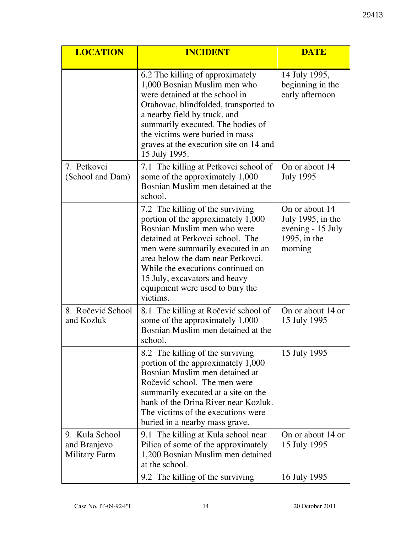| <b>LOCATION</b>                                 | <b>INCIDENT</b>                                                                                                                                                                                                                                                                                                                          | <b>DATE</b>                                                                         |
|-------------------------------------------------|------------------------------------------------------------------------------------------------------------------------------------------------------------------------------------------------------------------------------------------------------------------------------------------------------------------------------------------|-------------------------------------------------------------------------------------|
|                                                 | 6.2 The killing of approximately<br>1,000 Bosnian Muslim men who<br>were detained at the school in<br>Orahovac, blindfolded, transported to<br>a nearby field by truck, and<br>summarily executed. The bodies of<br>the victims were buried in mass<br>graves at the execution site on 14 and<br>15 July 1995.                           | 14 July 1995,<br>beginning in the<br>early afternoon                                |
| 7. Petkovci<br>(School and Dam)                 | 7.1 The killing at Petkovci school of<br>some of the approximately 1,000<br>Bosnian Muslim men detained at the<br>school.                                                                                                                                                                                                                | On or about 14<br><b>July 1995</b>                                                  |
|                                                 | 7.2 The killing of the surviving<br>portion of the approximately 1,000<br>Bosnian Muslim men who were<br>detained at Petkovci school. The<br>men were summarily executed in an<br>area below the dam near Petkovci.<br>While the executions continued on<br>15 July, excavators and heavy<br>equipment were used to bury the<br>victims. | On or about 14<br>July 1995, in the<br>evening - 15 July<br>1995, in the<br>morning |
| 8. Ročević School<br>and Kozluk                 | 8.1 The killing at Ročević school of<br>some of the approximately 1,000<br>Bosnian Muslim men detained at the<br>school.                                                                                                                                                                                                                 | On or about 14 or<br>15 July 1995                                                   |
|                                                 | 8.2 The killing of the surviving<br>portion of the approximately 1,000<br>Bosnian Muslim men detained at<br>Ročević school. The men were<br>summarily executed at a site on the<br>bank of the Drina River near Kozluk.<br>The victims of the executions were<br>buried in a nearby mass grave.                                          | 15 July 1995                                                                        |
| 9. Kula School<br>and Branjevo<br>Military Farm | 9.1 The killing at Kula school near<br>Pilica of some of the approximately<br>1,200 Bosnian Muslim men detained<br>at the school.                                                                                                                                                                                                        | On or about 14 or<br>15 July 1995                                                   |
|                                                 | 9.2 The killing of the surviving                                                                                                                                                                                                                                                                                                         | 16 July 1995                                                                        |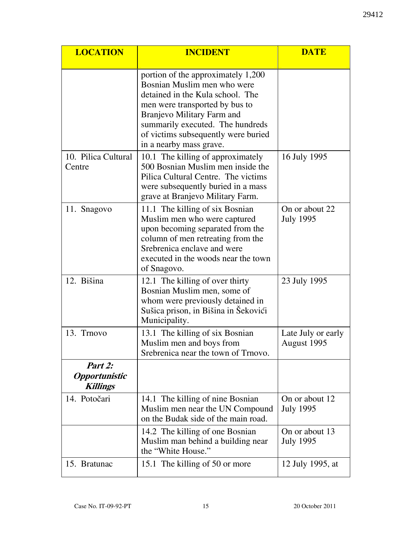| <b>LOCATION</b>                                    | <b>INCIDENT</b>                                                                                                                                                                                                                                                             | <b>DATE</b>                        |
|----------------------------------------------------|-----------------------------------------------------------------------------------------------------------------------------------------------------------------------------------------------------------------------------------------------------------------------------|------------------------------------|
|                                                    | portion of the approximately 1,200<br>Bosnian Muslim men who were<br>detained in the Kula school. The<br>men were transported by bus to<br>Branjevo Military Farm and<br>summarily executed. The hundreds<br>of victims subsequently were buried<br>in a nearby mass grave. |                                    |
| 10. Pilica Cultural<br>Centre                      | 10.1 The killing of approximately<br>500 Bosnian Muslim men inside the<br>Pilica Cultural Centre. The victims<br>were subsequently buried in a mass<br>grave at Branjevo Military Farm.                                                                                     | 16 July 1995                       |
| 11. Snagovo                                        | 11.1 The killing of six Bosnian<br>Muslim men who were captured<br>upon becoming separated from the<br>column of men retreating from the<br>Srebrenica enclave and were<br>executed in the woods near the town<br>of Snagovo.                                               | On or about 22<br><b>July 1995</b> |
| 12. Bišina                                         | 12.1 The killing of over thirty<br>Bosnian Muslim men, some of<br>whom were previously detained in<br>Sušica prison, in Bišina in Šekovići<br>Municipality.                                                                                                                 | 23 July 1995                       |
| 13. Trnovo                                         | 13.1 The killing of six Bosnian<br>Muslim men and boys from<br>Srebrenica near the town of Trnovo.                                                                                                                                                                          | Late July or early<br>August 1995  |
| Part 2:<br><b>Opportunistic</b><br><b>Killings</b> |                                                                                                                                                                                                                                                                             |                                    |
| 14. Potočari                                       | 14.1 The killing of nine Bosnian<br>Muslim men near the UN Compound<br>on the Budak side of the main road.                                                                                                                                                                  | On or about 12<br><b>July 1995</b> |
|                                                    | 14.2 The killing of one Bosnian<br>Muslim man behind a building near<br>the "White House."                                                                                                                                                                                  | On or about 13<br><b>July 1995</b> |
| 15. Bratunac                                       | 15.1 The killing of 50 or more                                                                                                                                                                                                                                              | 12 July 1995, at                   |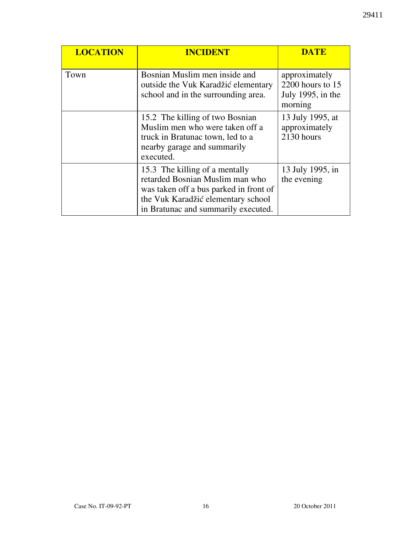| <b>LOCATION</b> | <b>INCIDENT</b>                                                                                                                                                                          | DATE                                                                |
|-----------------|------------------------------------------------------------------------------------------------------------------------------------------------------------------------------------------|---------------------------------------------------------------------|
| Town            | Bosnian Muslim men inside and<br>outside the Vuk Karadžić elementary<br>school and in the surrounding area.                                                                              | approximately<br>2200 hours to $15$<br>July 1995, in the<br>morning |
|                 | 15.2 The killing of two Bosnian<br>Muslim men who were taken off a<br>truck in Bratunac town, led to a<br>nearby garage and summarily<br>executed.                                       | 13 July 1995, at<br>approximately<br>2130 hours                     |
|                 | 15.3 The killing of a mentally<br>retarded Bosnian Muslim man who<br>was taken off a bus parked in front of<br>the Vuk Karadžić elementary school<br>in Bratunac and summarily executed. | 13 July 1995, in<br>the evening                                     |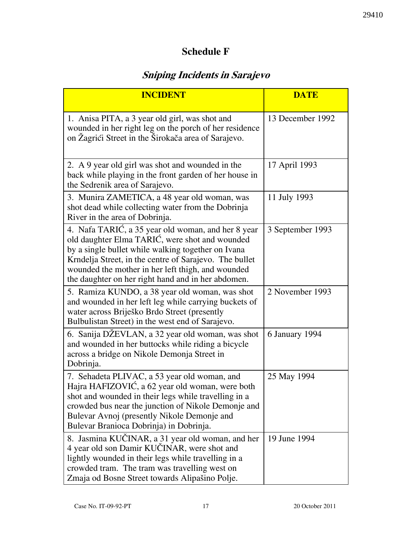## Schedule F

# Sniping Incidents in Sarajevo

| <b>INCIDENT</b>                                                                                                                                                                                                                                                                                                                 | <b>DATE</b>      |
|---------------------------------------------------------------------------------------------------------------------------------------------------------------------------------------------------------------------------------------------------------------------------------------------------------------------------------|------------------|
| 1. Anisa PITA, a 3 year old girl, was shot and<br>wounded in her right leg on the porch of her residence<br>on Žagrići Street in the Širokača area of Sarajevo.                                                                                                                                                                 | 13 December 1992 |
| 2. A 9 year old girl was shot and wounded in the<br>back while playing in the front garden of her house in<br>the Sedrenik area of Sarajevo.                                                                                                                                                                                    | 17 April 1993    |
| 3. Munira ZAMETICA, a 48 year old woman, was<br>shot dead while collecting water from the Dobrinja<br>River in the area of Dobrinja.                                                                                                                                                                                            | 11 July 1993     |
| 4. Nafa TARIĆ, a 35 year old woman, and her 8 year<br>old daughter Elma TARIĆ, were shot and wounded<br>by a single bullet while walking together on Ivana<br>Krndelja Street, in the centre of Sarajevo. The bullet<br>wounded the mother in her left thigh, and wounded<br>the daughter on her right hand and in her abdomen. | 3 September 1993 |
| 5. Ramiza KUNDO, a 38 year old woman, was shot<br>and wounded in her left leg while carrying buckets of<br>water across Briješko Brdo Street (presently<br>Bulbulistan Street) in the west end of Sarajevo.                                                                                                                     | 2 November 1993  |
| 6. Sanija DŽEVLAN, a 32 year old woman, was shot<br>and wounded in her buttocks while riding a bicycle<br>across a bridge on Nikole Demonja Street in<br>Dobrinja.                                                                                                                                                              | 6 January 1994   |
| 7. Sehadeta PLIVAC, a 53 year old woman, and<br>Hajra HAFIZOVIĆ, a 62 year old woman, were both<br>shot and wounded in their legs while travelling in a<br>crowded bus near the junction of Nikole Demonje and<br>Bulevar Avnoj (presently Nikole Demonje and<br>Bulevar Branioca Dobrinja) in Dobrinja.                        | 25 May 1994      |
| 8. Jasmina KUČINAR, a 31 year old woman, and her<br>4 year old son Damir KUČINAR, were shot and<br>lightly wounded in their legs while travelling in a<br>crowded tram. The tram was travelling west on<br>Zmaja od Bosne Street towards Alipašino Polje.                                                                       | 19 June 1994     |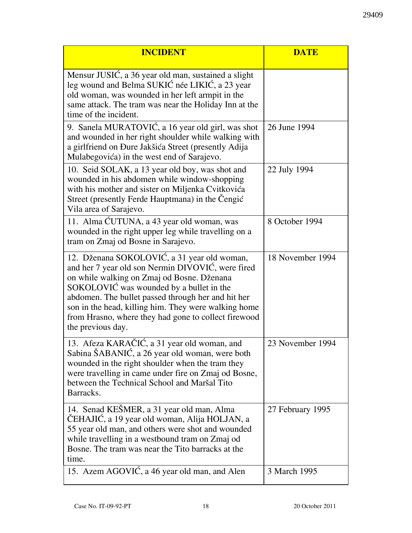| <b>INCIDENT</b>                                                                                                                                                                                                                                                                                                                                                                       | <b>DATE</b>      |
|---------------------------------------------------------------------------------------------------------------------------------------------------------------------------------------------------------------------------------------------------------------------------------------------------------------------------------------------------------------------------------------|------------------|
| Mensur JUSIĆ, a 36 year old man, sustained a slight<br>leg wound and Belma SUKIĆ née LIKIĆ, a 23 year<br>old woman, was wounded in her left armpit in the<br>same attack. The tram was near the Holiday Inn at the<br>time of the incident.                                                                                                                                           |                  |
| 9. Sanela MURATOVIĆ, a 16 year old girl, was shot<br>and wounded in her right shoulder while walking with<br>a girlfriend on Đure Jakšića Street (presently Adija<br>Mulabegovića) in the west end of Sarajevo.                                                                                                                                                                       | 26 June 1994     |
| 10. Seid SOLAK, a 13 year old boy, was shot and<br>wounded in his abdomen while window-shopping<br>with his mother and sister on Miljenka Cvitkovića<br>Street (presently Ferde Hauptmana) in the Čengić<br>Vila area of Sarajevo.                                                                                                                                                    | 22 July 1994     |
| 11. Alma ĆUTUNA, a 43 year old woman, was<br>wounded in the right upper leg while travelling on a<br>tram on Zmaj od Bosne in Sarajevo.                                                                                                                                                                                                                                               | 8 October 1994   |
| 12. Dženana SOKOLOVIĆ, a 31 year old woman,<br>and her 7 year old son Nermin DIVOVIĆ, were fired<br>on while walking on Zmaj od Bosne. Dženana<br>SOKOLOVIĆ was wounded by a bullet in the<br>abdomen. The bullet passed through her and hit her<br>son in the head, killing him. They were walking home<br>from Hrasno, where they had gone to collect firewood<br>the previous day. | 18 November 1994 |
| 13. Afeza KARAČIĆ, a 31 year old woman, and<br>Sabina ŠABANIĆ, a 26 year old woman, were both<br>wounded in the right shoulder when the tram they<br>were travelling in came under fire on Zmaj od Bosne,<br>between the Technical School and Maršal Tito<br>Barracks.                                                                                                                | 23 November 1994 |
| 14. Senad KEŠMER, a 31 year old man, Alma<br>ČEHAJIĆ, a 19 year old woman, Alija HOLJAN, a<br>55 year old man, and others were shot and wounded<br>while travelling in a westbound tram on Zmaj od<br>Bosne. The tram was near the Tito barracks at the<br>time.                                                                                                                      | 27 February 1995 |
| 15. Azem AGOVIĆ, a 46 year old man, and Alen                                                                                                                                                                                                                                                                                                                                          | 3 March 1995     |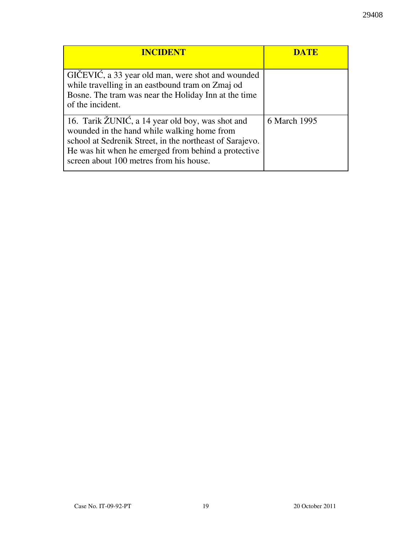| <b>INCIDENT</b>                                                                                                                                                                                                                                               | <b>DATE</b>  |
|---------------------------------------------------------------------------------------------------------------------------------------------------------------------------------------------------------------------------------------------------------------|--------------|
| GIČEVIĆ, a 33 year old man, were shot and wounded<br>while travelling in an eastbound tram on Zmaj od<br>Bosne. The tram was near the Holiday Inn at the time<br>of the incident.                                                                             |              |
| 16. Tarik ŽUNIĆ, a 14 year old boy, was shot and<br>wounded in the hand while walking home from<br>school at Sedrenik Street, in the northeast of Sarajevo.<br>He was hit when he emerged from behind a protective<br>screen about 100 metres from his house. | 6 March 1995 |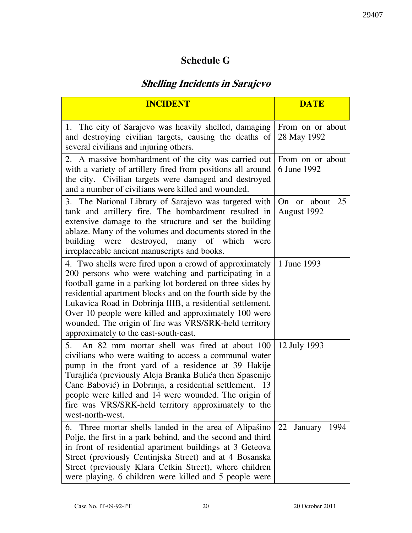# Schedule G

# Shelling Incidents in Sarajevo

| <b>INCIDENT</b>                                                                                                                                                                                                                                                                                                                                                                                                                                                    | <b>DATE</b>                     |
|--------------------------------------------------------------------------------------------------------------------------------------------------------------------------------------------------------------------------------------------------------------------------------------------------------------------------------------------------------------------------------------------------------------------------------------------------------------------|---------------------------------|
| 1. The city of Sarajevo was heavily shelled, damaging<br>and destroying civilian targets, causing the deaths of<br>several civilians and injuring others.                                                                                                                                                                                                                                                                                                          | From on or about<br>28 May 1992 |
| 2. A massive bombardment of the city was carried out<br>with a variety of artillery fired from positions all around<br>the city. Civilian targets were damaged and destroyed<br>and a number of civilians were killed and wounded.                                                                                                                                                                                                                                 | From on or about<br>6 June 1992 |
| 3. The National Library of Sarajevo was targeted with<br>tank and artillery fire. The bombardment resulted in<br>extensive damage to the structure and set the building<br>ablaze. Many of the volumes and documents stored in the<br>building were destroyed, many of which<br>were<br>irreplaceable ancient manuscripts and books.                                                                                                                               | On or about 25<br>August 1992   |
| 4. Two shells were fired upon a crowd of approximately<br>200 persons who were watching and participating in a<br>football game in a parking lot bordered on three sides by<br>residential apartment blocks and on the fourth side by the<br>Lukavica Road in Dobrinja IIIB, a residential settlement.<br>Over 10 people were killed and approximately 100 were<br>wounded. The origin of fire was VRS/SRK-held territory<br>approximately to the east-south-east. | 1 June 1993                     |
| An 82 mm mortar shell was fired at about 100<br>5.<br>civilians who were waiting to access a communal water<br>pump in the front yard of a residence at 39 Hakije<br>Turajlića (previously Aleja Branka Bulića then Spasenije<br>Cane Babović) in Dobrinja, a residential settlement. 13<br>people were killed and 14 were wounded. The origin of<br>fire was VRS/SRK-held territory approximately to the<br>west-north-west.                                      | 12 July 1993                    |
| Three mortar shells landed in the area of Alipašino<br>6.<br>Polje, the first in a park behind, and the second and third<br>in front of residential apartment buildings at 3 Geteova<br>Street (previously Centinjska Street) and at 4 Bosanska<br>Street (previously Klara Cetkin Street), where children<br>were playing. 6 children were killed and 5 people were                                                                                               | 22 January<br>1994              |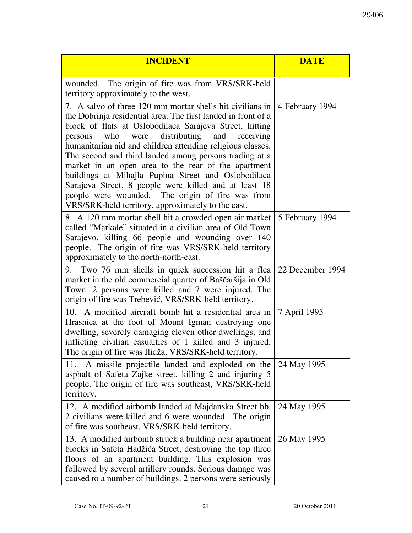| <b>INCIDENT</b>                                                                                                                                                                                                                                                                                                                                                                                                                                                                                                                                                                                                                                              | <b>DATE</b>      |
|--------------------------------------------------------------------------------------------------------------------------------------------------------------------------------------------------------------------------------------------------------------------------------------------------------------------------------------------------------------------------------------------------------------------------------------------------------------------------------------------------------------------------------------------------------------------------------------------------------------------------------------------------------------|------------------|
| wounded. The origin of fire was from VRS/SRK-held<br>territory approximately to the west.                                                                                                                                                                                                                                                                                                                                                                                                                                                                                                                                                                    |                  |
| 7. A salvo of three 120 mm mortar shells hit civilians in<br>the Dobrinja residential area. The first landed in front of a<br>block of flats at Oslobodilaca Sarajeva Street, hitting<br>distributing<br>who<br>and<br>receiving<br>were<br>persons<br>humanitarian aid and children attending religious classes.<br>The second and third landed among persons trading at a<br>market in an open area to the rear of the apartment<br>buildings at Mihajla Pupina Street and Oslobodilaca<br>Sarajeva Street. 8 people were killed and at least 18<br>people were wounded. The origin of fire was from<br>VRS/SRK-held territory, approximately to the east. | 4 February 1994  |
| 8. A 120 mm mortar shell hit a crowded open air market<br>called "Markale" situated in a civilian area of Old Town<br>Sarajevo, killing 66 people and wounding over 140<br>people. The origin of fire was VRS/SRK-held territory<br>approximately to the north-north-east.                                                                                                                                                                                                                                                                                                                                                                                   | 5 February 1994  |
| 9. Two 76 mm shells in quick succession hit a flea<br>market in the old commercial quarter of Baščaršija in Old<br>Town. 2 persons were killed and 7 were injured. The<br>origin of fire was Trebević, VRS/SRK-held territory.                                                                                                                                                                                                                                                                                                                                                                                                                               | 22 December 1994 |
| 10. A modified aircraft bomb hit a residential area in<br>Hrasnica at the foot of Mount Igman destroying one<br>dwelling, severely damaging eleven other dwellings, and<br>inflicting civilian casualties of 1 killed and 3 injured.<br>The origin of fire was Ilidža, VRS/SRK-held territory.                                                                                                                                                                                                                                                                                                                                                               | 7 April 1995     |
| A missile projectile landed and exploded on the<br>11.<br>asphalt of Safeta Zajke street, killing 2 and injuring 5<br>people. The origin of fire was southeast, VRS/SRK-held<br>territory.                                                                                                                                                                                                                                                                                                                                                                                                                                                                   | 24 May 1995      |
| 12. A modified airbomb landed at Majdanska Street bb.<br>2 civilians were killed and 6 were wounded. The origin<br>of fire was southeast, VRS/SRK-held territory.                                                                                                                                                                                                                                                                                                                                                                                                                                                                                            | 24 May 1995      |
| 13. A modified airbomb struck a building near apartment<br>blocks in Safeta Hadžića Street, destroying the top three<br>floors of an apartment building. This explosion was<br>followed by several artillery rounds. Serious damage was<br>caused to a number of buildings. 2 persons were seriously                                                                                                                                                                                                                                                                                                                                                         | 26 May 1995      |